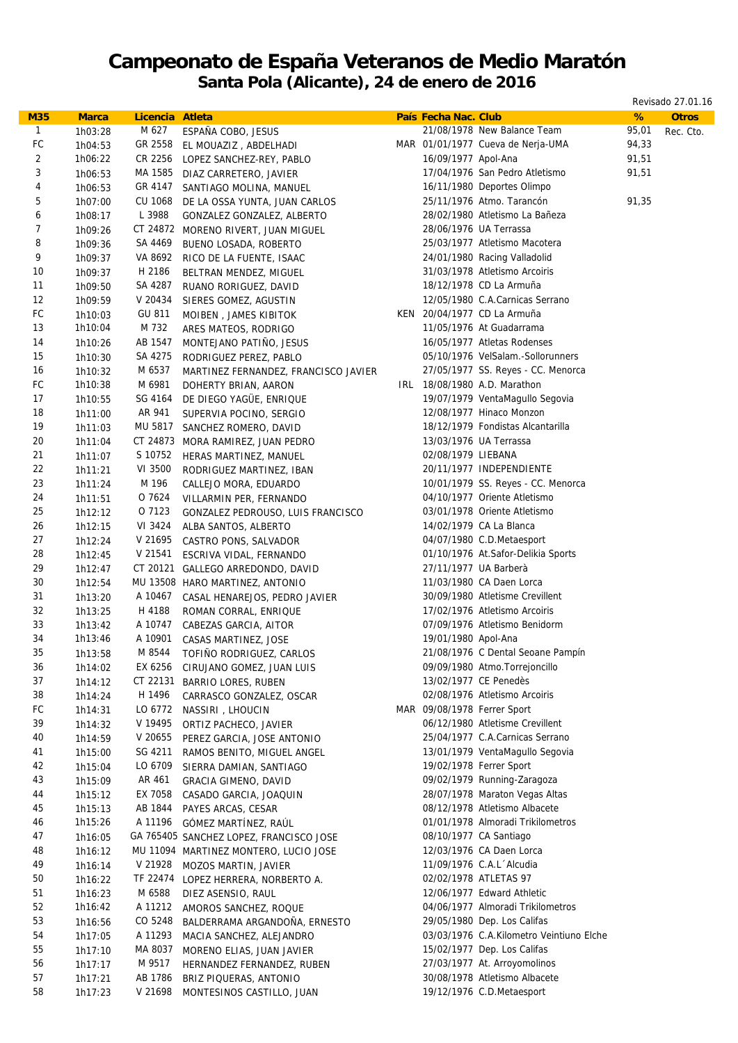## **Campeonato de España Veteranos de Medio Maratón**

**Santa Pola (Alicante), 24 de enero de 2016**

Revisado 27.01.16

| <b>M35</b>              | <b>Marca</b>       | Licencia Atleta |                                                              | País Fecha Nac. Club |                                                   | %     | <b>Otros</b> |
|-------------------------|--------------------|-----------------|--------------------------------------------------------------|----------------------|---------------------------------------------------|-------|--------------|
| $\mathbf{1}$            | 1h03:28            | M 627           | ESPAÑA COBO, JESUS                                           |                      | 21/08/1978 New Balance Team                       | 95,01 | Rec. Cto.    |
| FC                      | 1h04:53            | GR 2558         | EL MOUAZIZ, ABDELHADI                                        |                      | MAR 01/01/1977 Cueva de Nerja-UMA                 | 94,33 |              |
| $\overline{2}$          | 1h06:22            | CR 2256         | LOPEZ SANCHEZ-REY, PABLO                                     | 16/09/1977 Apol-Ana  |                                                   | 91,51 |              |
| 3                       | 1h06:53            | MA 1585         | DIAZ CARRETERO, JAVIER                                       |                      | 17/04/1976 San Pedro Atletismo                    | 91,51 |              |
| $\overline{\mathbf{4}}$ | 1h06:53            | GR 4147         | SANTIAGO MOLINA, MANUEL                                      |                      | 16/11/1980 Deportes Olimpo                        |       |              |
| 5                       | 1h07:00            | CU 1068         | DE LA OSSA YUNTA, JUAN CARLOS                                |                      | 25/11/1976 Atmo. Tarancón                         | 91,35 |              |
| 6                       | 1h08:17            | L 3988          | GONZALEZ GONZALEZ, ALBERTO                                   |                      | 28/02/1980 Atletismo La Bañeza                    |       |              |
| $\overline{7}$          | 1h09:26            | CT 24872        | MORENO RIVERT, JUAN MIGUEL                                   |                      | 28/06/1976 UA Terrassa                            |       |              |
| 8                       | 1h09:36            | SA 4469         | BUENO LOSADA, ROBERTO                                        |                      | 25/03/1977 Atletismo Macotera                     |       |              |
| 9                       | 1h09:37            | VA 8692         | RICO DE LA FUENTE, ISAAC                                     |                      | 24/01/1980 Racing Valladolid                      |       |              |
| 10                      | 1h09:37            | H 2186          | BELTRAN MENDEZ, MIGUEL                                       |                      | 31/03/1978 Atletismo Arcoiris                     |       |              |
| 11                      | 1h09:50            | SA 4287         | RUANO RORIGUEZ, DAVID                                        |                      | 18/12/1978 CD La Armuña                           |       |              |
| 12                      | 1h09:59            | V 20434         | SIERES GOMEZ, AGUSTIN                                        |                      | 12/05/1980 C.A.Carnicas Serrano                   |       |              |
| FC                      | 1h10:03            | GU 811          | MOIBEN, JAMES KIBITOK                                        |                      | KEN 20/04/1977 CD La Armuña                       |       |              |
| 13                      | 1h10:04            | M 732           | ARES MATEOS, RODRIGO                                         |                      | 11/05/1976 At Guadarrama                          |       |              |
| 14                      | 1h10:26            | AB 1547         | MONTEJANO PATIÑO, JESUS                                      |                      | 16/05/1977 Atletas Rodenses                       |       |              |
| 15                      | 1h10:30            | SA 4275         | RODRIGUEZ PEREZ, PABLO                                       |                      | 05/10/1976 VelSalam.-Sollorunners                 |       |              |
| 16                      | 1h10:32            | M 6537          | MARTINEZ FERNANDEZ, FRANCISCO JAVIER                         |                      | 27/05/1977 SS. Reyes - CC. Menorca                |       |              |
| ${\sf FC}$              | 1h10:38            | M 6981          | DOHERTY BRIAN, AARON                                         |                      | IRL 18/08/1980 A.D. Marathon                      |       |              |
| 17                      | 1h10:55            | SG 4164         | DE DIEGO YAGÜE, ENRIQUE                                      |                      | 19/07/1979 VentaMagullo Segovia                   |       |              |
| 18                      | 1h11:00            | AR 941          | SUPERVIA POCINO, SERGIO                                      |                      | 12/08/1977 Hinaco Monzon                          |       |              |
| 19                      | 1h11:03            |                 | MU 5817 SANCHEZ ROMERO, DAVID                                |                      | 18/12/1979 Fondistas Alcantarilla                 |       |              |
| 20                      | 1h11:04            |                 | CT 24873 MORA RAMIREZ, JUAN PEDRO                            |                      | 13/03/1976 UA Terrassa                            |       |              |
| 21                      | 1h11:07            | S 10752         | HERAS MARTINEZ, MANUEL                                       | 02/08/1979 LIEBANA   |                                                   |       |              |
| 22                      | 1h11:21            | VI 3500         | RODRIGUEZ MARTINEZ, IBAN                                     |                      | 20/11/1977 INDEPENDIENTE                          |       |              |
| 23                      | 1h11:24            | M 196           |                                                              |                      | 10/01/1979 SS. Reyes - CC. Menorca                |       |              |
| 24                      | 1h11:51            | O 7624          | CALLEJO MORA, EDUARDO<br>VILLARMIN PER, FERNANDO             |                      | 04/10/1977 Oriente Atletismo                      |       |              |
| 25                      | 1h12:12            | O 7123          |                                                              |                      | 03/01/1978 Oriente Atletismo                      |       |              |
| 26                      | 1h12:15            | VI 3424         | GONZALEZ PEDROUSO, LUIS FRANCISCO<br>ALBA SANTOS, ALBERTO    |                      | 14/02/1979 CA La Blanca                           |       |              |
| 27                      | 1h12:24            | V 21695         |                                                              |                      | 04/07/1980 C.D.Metaesport                         |       |              |
| 28                      | 1h12:45            | V 21541         | CASTRO PONS, SALVADOR                                        |                      | 01/10/1976 At.Safor-Delikia Sports                |       |              |
| 29                      | 1h12:47            |                 | ESCRIVA VIDAL, FERNANDO<br>CT 20121 GALLEGO ARREDONDO, DAVID |                      | 27/11/1977 UA Barberà                             |       |              |
| 30                      | 1h12:54            |                 | MU 13508 HARO MARTINEZ, ANTONIO                              |                      | 11/03/1980 CA Daen Lorca                          |       |              |
| 31                      | 1h13:20            | A 10467         | CASAL HENAREJOS, PEDRO JAVIER                                |                      | 30/09/1980 Atletisme Crevillent                   |       |              |
| 32                      | 1h13:25            | H 4188          | ROMAN CORRAL, ENRIQUE                                        |                      | 17/02/1976 Atletismo Arcoiris                     |       |              |
| 33                      | 1h13:42            | A 10747         | CABEZAS GARCIA, AITOR                                        |                      | 07/09/1976 Atletismo Benidorm                     |       |              |
| 34                      | 1h13:46            | A 10901         | CASAS MARTINEZ, JOSE                                         | 19/01/1980 Apol-Ana  |                                                   |       |              |
| 35                      | 1h13:58            | M 8544          | TOFIÑO RODRIGUEZ, CARLOS                                     |                      | 21/08/1976 C Dental Seoane Pampín                 |       |              |
| 36                      | 1h14:02            | EX 6256         | CIRUJANO GOMEZ, JUAN LUIS                                    |                      | 09/09/1980 Atmo. Torrejoncillo                    |       |              |
| 37                      | 1h14:12            | CT 22131        |                                                              |                      | 13/02/1977 CE Penedès                             |       |              |
| 38                      | 1h14:24            | H 1496          | BARRIO LORES, RUBEN                                          |                      | 02/08/1976 Atletismo Arcoiris                     |       |              |
| ${\sf FC}$              | 1h14:31            | LO 6772         | CARRASCO GONZALEZ, OSCAR                                     |                      | MAR 09/08/1978 Ferrer Sport                       |       |              |
| 39                      |                    | V 19495         | NASSIRI , LHOUCIN<br>ORTIZ PACHECO, JAVIER                   |                      | 06/12/1980 Atletisme Crevillent                   |       |              |
| 40                      | 1h14:32<br>1h14:59 | V 20655         |                                                              |                      | 25/04/1977 C.A.Carnicas Serrano                   |       |              |
| 41                      |                    | SG 4211         | PEREZ GARCIA, JOSE ANTONIO                                   |                      | 13/01/1979 VentaMagullo Segovia                   |       |              |
| 42                      | 1h15:00<br>1h15:04 | LO 6709         | RAMOS BENITO, MIGUEL ANGEL                                   |                      | 19/02/1978 Ferrer Sport                           |       |              |
| 43                      | 1h15:09            | AR 461          | SIERRA DAMIAN, SANTIAGO<br><b>GRACIA GIMENO, DAVID</b>       |                      | 09/02/1979 Running-Zaragoza                       |       |              |
| 44                      |                    | EX 7058         |                                                              |                      | 28/07/1978 Maraton Vegas Altas                    |       |              |
| 45                      | 1h15:12<br>1h15:13 | AB 1844         | CASADO GARCIA, JOAQUIN<br>PAYES ARCAS, CESAR                 |                      | 08/12/1978 Atletismo Albacete                     |       |              |
| 46                      | 1h15:26            | A 11196         | GÓMEZ MARTÍNEZ, RAÚL                                         |                      | 01/01/1978 Almoradi Trikilometros                 |       |              |
| 47                      |                    |                 |                                                              |                      | 08/10/1977 CA Santiago                            |       |              |
| 48                      | 1h16:05            |                 | GA 765405 SANCHEZ LOPEZ, FRANCISCO JOSE                      |                      | 12/03/1976 CA Daen Lorca                          |       |              |
|                         | 1h16:12            |                 | MU 11094 MARTINEZ MONTERO, LUCIO JOSE                        |                      |                                                   |       |              |
| 49<br>50                | 1h16:14            | V 21928         | MOZOS MARTIN, JAVIER                                         |                      | 11/09/1976 C.A.L Alcudia<br>02/02/1978 ATLETAS 97 |       |              |
|                         | 1h16:22            |                 | TF 22474 LOPEZ HERRERA, NORBERTO A.                          |                      |                                                   |       |              |
| 51                      | 1h16:23            | M 6588          | DIEZ ASENSIO, RAUL                                           |                      | 12/06/1977 Edward Athletic                        |       |              |
| 52                      | 1h16:42            | A 11212         | AMOROS SANCHEZ, ROQUE                                        |                      | 04/06/1977 Almoradi Trikilometros                 |       |              |
| 53                      | 1h16:56            | CO 5248         | BALDERRAMA ARGANDOÑA, ERNESTO                                |                      | 29/05/1980 Dep. Los Califas                       |       |              |
| 54                      | 1h17:05            | A 11293         | MACIA SANCHEZ, ALEJANDRO                                     |                      | 03/03/1976 C.A.Kilometro Veintiuno Elche          |       |              |
| 55                      | 1h17:10            | MA 8037         | MORENO ELIAS, JUAN JAVIER                                    |                      | 15/02/1977 Dep. Los Califas                       |       |              |
| 56                      | 1h17:17            | M 9517          | HERNANDEZ FERNANDEZ, RUBEN                                   |                      | 27/03/1977 At. Arroyomolinos                      |       |              |
| 57                      | 1h17:21            | AB 1786         | BRIZ PIQUERAS, ANTONIO                                       |                      | 30/08/1978 Atletismo Albacete                     |       |              |
| 58                      | 1h17:23            | V 21698         | MONTESINOS CASTILLO, JUAN                                    |                      | 19/12/1976 C.D.Metaesport                         |       |              |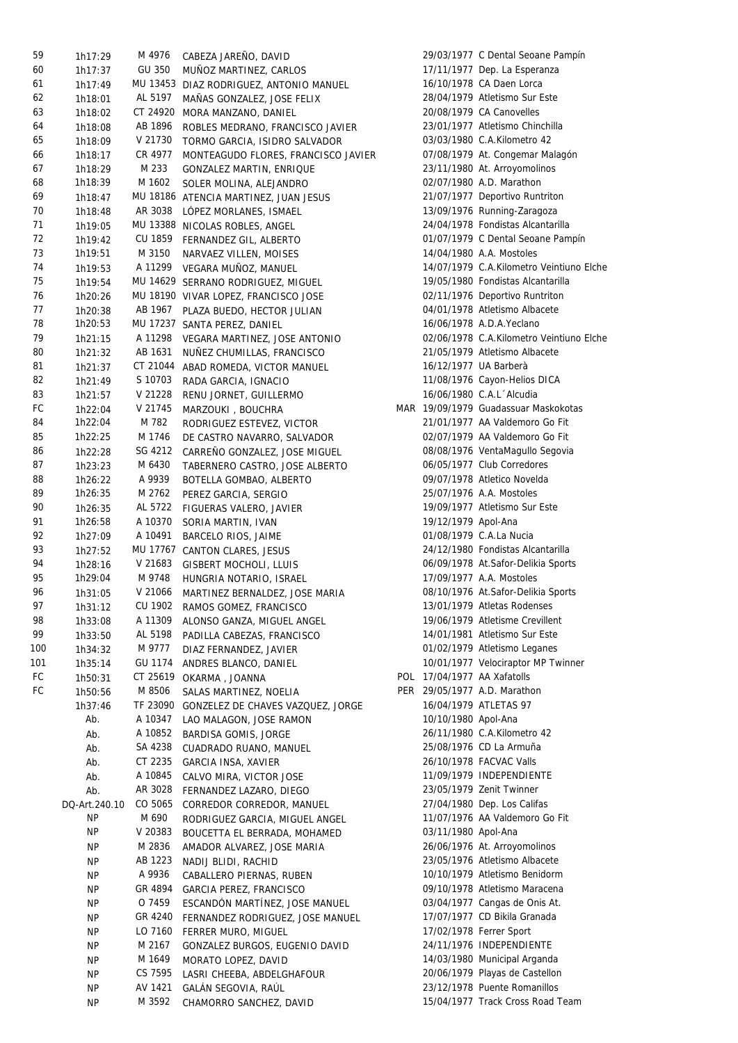| 59  | 1h17:29       | M 4976   | CABEZA JAREÑO, DAVID                    |                       | 29/03/1977 C Dental Seoane Pampín        |
|-----|---------------|----------|-----------------------------------------|-----------------------|------------------------------------------|
| 60  | 1h17:37       | GU 350   | MUÑOZ MARTINEZ, CARLOS                  |                       | 17/11/1977 Dep. La Esperanza             |
| 61  | 1h17:49       |          | MU 13453 DIAZ RODRIGUEZ, ANTONIO MANUEL |                       | 16/10/1978 CA Daen Lorca                 |
| 62  | 1h18:01       | AL 5197  | MAÑAS GONZALEZ, JOSE FELIX              |                       | 28/04/1979 Atletismo Sur Este            |
| 63  | 1h18:02       | CT 24920 | MORA MANZANO, DANIEL                    |                       | 20/08/1979 CA Canovelles                 |
| 64  | 1h18:08       | AB 1896  | ROBLES MEDRANO, FRANCISCO JAVIER        |                       | 23/01/1977 Atletismo Chinchilla          |
| 65  |               | V 21730  |                                         |                       | 03/03/1980 C.A.Kilometro 42              |
|     | 1h18:09       |          | TORMO GARCIA, ISIDRO SALVADOR           |                       |                                          |
| 66  | 1h18:17       | CR 4977  | MONTEAGUDO FLORES, FRANCISCO JAVIER     |                       | 07/08/1979 At. Congemar Malagón          |
| 67  | 1h18:29       | M 233    | GONZALEZ MARTIN, ENRIQUE                |                       | 23/11/1980 At. Arroyomolinos             |
| 68  | 1h18:39       | M 1602   | SOLER MOLINA, ALEJANDRO                 |                       | 02/07/1980 A.D. Marathon                 |
| 69  | 1h18:47       |          | MU 18186 ATENCIA MARTINEZ, JUAN JESUS   |                       | 21/07/1977 Deportivo Runtriton           |
| 70  | 1h18:48       |          | AR 3038 LÓPEZ MORLANES, ISMAEL          |                       | 13/09/1976 Running-Zaragoza              |
| 71  | 1h19:05       |          | MU 13388 NICOLAS ROBLES, ANGEL          |                       | 24/04/1978 Fondistas Alcantarilla        |
| 72  | 1h19:42       | CU 1859  | FERNANDEZ GIL, ALBERTO                  |                       | 01/07/1979 C Dental Seoane Pampín        |
| 73  | 1h19:51       | M 3150   | NARVAEZ VILLEN, MOISES                  |                       | 14/04/1980 A.A. Mostoles                 |
| 74  | 1h19:53       |          | A 11299 VEGARA MUÑOZ, MANUEL            |                       | 14/07/1979 C.A.Kilometro Veintiuno Elche |
| 75  | 1h19:54       |          | MU 14629 SERRANO RODRIGUEZ, MIGUEL      |                       | 19/05/1980 Fondistas Alcantarilla        |
| 76  | 1h20:26       |          | MU 18190 VIVAR LOPEZ, FRANCISCO JOSE    |                       | 02/11/1976 Deportivo Runtriton           |
| 77  | 1h20:38       |          | AB 1967 PLAZA BUEDO, HECTOR JULIAN      |                       | 04/01/1978 Atletismo Albacete            |
| 78  | 1h20:53       |          | MU 17237 SANTA PEREZ, DANIEL            |                       | 16/06/1978 A.D.A.Yeclano                 |
| 79  |               | A 11298  |                                         |                       | 02/06/1978 C.A.Kilometro Veintiuno Elche |
|     | 1h21:15       |          | VEGARA MARTINEZ, JOSE ANTONIO           |                       |                                          |
| 80  | 1h21:32       | AB 1631  | NUÑEZ CHUMILLAS, FRANCISCO              |                       | 21/05/1979 Atletismo Albacete            |
| 81  | 1h21:37       |          | CT 21044 ABAD ROMEDA, VICTOR MANUEL     | 16/12/1977 UA Barberà |                                          |
| 82  | 1h21:49       | S 10703  | RADA GARCIA, IGNACIO                    |                       | 11/08/1976 Cayon-Helios DICA             |
| 83  | 1h21:57       | V 21228  | RENU JORNET, GUILLERMO                  |                       | 16/06/1980 C.A.L Alcudia                 |
| FC  | 1h22:04       | V 21745  | MARZOUKI, BOUCHRA                       |                       | MAR 19/09/1979 Guadassuar Maskokotas     |
| 84  | 1h22:04       | M 782    | RODRIGUEZ ESTEVEZ, VICTOR               |                       | 21/01/1977 AA Valdemoro Go Fit           |
| 85  | 1h22:25       | M 1746   | DE CASTRO NAVARRO, SALVADOR             |                       | 02/07/1979 AA Valdemoro Go Fit           |
| 86  | 1h22:28       | SG 4212  | CARREÑO GONZALEZ, JOSE MIGUEL           |                       | 08/08/1976 VentaMagullo Segovia          |
| 87  | 1h23:23       | M 6430   | TABERNERO CASTRO, JOSE ALBERTO          |                       | 06/05/1977 Club Corredores               |
| 88  | 1h26:22       | A 9939   | BOTELLA GOMBAO, ALBERTO                 |                       | 09/07/1978 Atletico Novelda              |
| 89  | 1h26:35       | M 2762   | PEREZ GARCIA, SERGIO                    |                       | 25/07/1976 A.A. Mostoles                 |
| 90  | 1h26:35       | AL 5722  | FIGUERAS VALERO, JAVIER                 |                       | 19/09/1977 Atletismo Sur Este            |
| 91  | 1h26:58       | A 10370  | SORIA MARTIN, IVAN                      | 19/12/1979 Apol-Ana   |                                          |
| 92  |               | A 10491  |                                         |                       | 01/08/1979 C.A.La Nucia                  |
| 93  | 1h27:09       |          | BARCELO RIOS, JAIME                     |                       |                                          |
|     | 1h27:52       |          | MU 17767 CANTON CLARES, JESUS           |                       | 24/12/1980 Fondistas Alcantarilla        |
| 94  | 1h28:16       | V 21683  | GISBERT MOCHOLI, LLUIS                  |                       | 06/09/1978 At.Safor-Delikia Sports       |
| 95  | 1h29:04       | M 9748   | HUNGRIA NOTARIO, ISRAEL                 |                       | 17/09/1977 A.A. Mostoles                 |
| 96  | 1h31:05       | V 21066  | MARTINEZ BERNALDEZ, JOSE MARIA          |                       | 08/10/1976 At.Safor-Delikia Sports       |
| 97  | 1h31:12       |          | CU 1902 RAMOS GOMEZ, FRANCISCO          |                       | 13/01/1979 Atletas Rodenses              |
| 98  | 1h33:08       | A 11309  | ALONSO GANZA, MIGUEL ANGEL              |                       | 19/06/1979 Atletisme Crevillent          |
| 99  | 1h33:50       | AL 5198  | PADILLA CABEZAS, FRANCISCO              |                       | 14/01/1981 Atletismo Sur Este            |
| 100 | 1h34:32       | M 9777   | DIAZ FERNANDEZ, JAVIER                  |                       | 01/02/1979 Atletismo Leganes             |
| 101 | 1h35:14       | GU 1174  | ANDRES BLANCO, DANIEL                   |                       | 10/01/1977 Velociraptor MP Twinner       |
| FC  | 1h50:31       | CT 25619 | OKARMA, JOANNA                          |                       | POL 17/04/1977 AA Xafatolls              |
| FC  | 1h50:56       | M 8506   | SALAS MARTINEZ, NOELIA                  |                       | PER 29/05/1977 A.D. Marathon             |
|     | 1h37:46       | TF 23090 | GONZELEZ DE CHAVES VAZQUEZ, JORGE       |                       | 16/04/1979 ATLETAS 97                    |
|     | Ab.           | A 10347  | LAO MALAGON, JOSE RAMON                 | 10/10/1980 Apol-Ana   |                                          |
|     | Ab.           | A 10852  | BARDISA GOMIS, JORGE                    |                       | 26/11/1980 C.A.Kilometro 42              |
|     |               | SA 4238  |                                         |                       | 25/08/1976 CD La Armuña                  |
|     | Ab.           |          | CUADRADO RUANO, MANUEL                  |                       |                                          |
|     | Ab.           | CT 2235  | GARCIA INSA, XAVIER                     |                       | 26/10/1978 FACVAC Valls                  |
|     | Ab.           | A 10845  | CALVO MIRA, VICTOR JOSE                 |                       | 11/09/1979 INDEPENDIENTE                 |
|     | Ab.           | AR 3028  | FERNANDEZ LAZARO, DIEGO                 |                       | 23/05/1979 Zenit Twinner                 |
|     | DQ-Art.240.10 | CO 5065  | CORREDOR CORREDOR, MANUEL               |                       | 27/04/1980 Dep. Los Califas              |
|     | <b>NP</b>     | M 690    | RODRIGUEZ GARCIA, MIGUEL ANGEL          |                       | 11/07/1976 AA Valdemoro Go Fit           |
|     | <b>NP</b>     | V 20383  | BOUCETTA EL BERRADA, MOHAMED            | 03/11/1980 Apol-Ana   |                                          |
|     | <b>NP</b>     | M 2836   | AMADOR ALVAREZ, JOSE MARIA              |                       | 26/06/1976 At. Arroyomolinos             |
|     | <b>NP</b>     | AB 1223  | NADIJ BLIDI, RACHID                     |                       | 23/05/1976 Atletismo Albacete            |
|     | <b>NP</b>     | A 9936   | CABALLERO PIERNAS, RUBEN                |                       | 10/10/1979 Atletismo Benidorm            |
|     | <b>NP</b>     | GR 4894  | GARCIA PEREZ, FRANCISCO                 |                       | 09/10/1978 Atletismo Maracena            |
|     | <b>NP</b>     | O 7459   | ESCANDÓN MARTÍNEZ, JOSE MANUEL          |                       | 03/04/1977 Cangas de Onis At.            |
|     | <b>NP</b>     | GR 4240  | FERNANDEZ RODRIGUEZ, JOSE MANUEL        |                       | 17/07/1977 CD Bikila Granada             |
|     | <b>NP</b>     | LO 7160  | FERRER MURO, MIGUEL                     |                       | 17/02/1978 Ferrer Sport                  |
|     | <b>NP</b>     | M 2167   |                                         |                       | 24/11/1976 INDEPENDIENTE                 |
|     |               |          | GONZALEZ BURGOS, EUGENIO DAVID          |                       |                                          |
|     | <b>NP</b>     | M 1649   | MORATO LOPEZ, DAVID                     |                       | 14/03/1980 Municipal Arganda             |
|     | <b>NP</b>     | CS 7595  | LASRI CHEEBA, ABDELGHAFOUR              |                       | 20/06/1979 Playas de Castellon           |
|     | <b>NP</b>     | AV 1421  | GALÁN SEGOVIA, RAÚL                     |                       | 23/12/1978 Puente Romanillos             |
|     | <b>NP</b>     | M 3592   | CHAMORRO SANCHEZ, DAVID                 |                       | 15/04/1977 Track Cross Road Team         |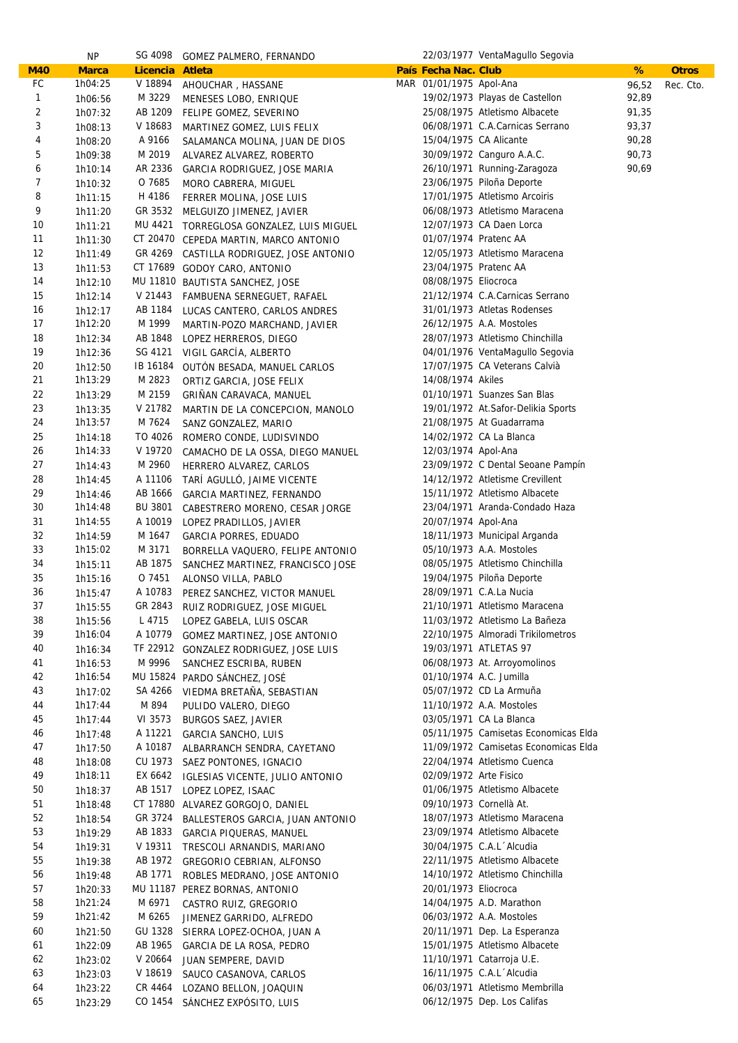|                         | <b>NP</b>          |                    | SG 4098 GOMEZ PALMERO, FERNANDO                                                   |                         | 22/03/1977 VentaMagullo Segovia                              |       |              |
|-------------------------|--------------------|--------------------|-----------------------------------------------------------------------------------|-------------------------|--------------------------------------------------------------|-------|--------------|
| <b>M40</b>              | <b>Marca</b>       | Licencia Atleta    |                                                                                   | País Fecha Nac. Club    |                                                              | %     | <b>Otros</b> |
| FC                      | 1h04:25            | V 18894            | AHOUCHAR, HASSANE                                                                 | MAR 01/01/1975 Apol-Ana |                                                              | 96,52 | Rec. Cto.    |
| $\mathbf{1}$            | 1h06:56            | M 3229             | MENESES LOBO, ENRIQUE                                                             |                         | 19/02/1973 Playas de Castellon                               | 92,89 |              |
| $\overline{\mathbf{c}}$ | 1h07:32            | AB 1209            | FELIPE GOMEZ, SEVERINO                                                            |                         | 25/08/1975 Atletismo Albacete                                | 91,35 |              |
| 3                       | 1h08:13            | V 18683            | MARTINEZ GOMEZ, LUIS FELIX                                                        |                         | 06/08/1971 C.A.Carnicas Serrano                              | 93,37 |              |
| 4                       | 1h08:20            | A 9166             | SALAMANCA MOLINA, JUAN DE DIOS                                                    | 15/04/1975 CA Alicante  |                                                              | 90,28 |              |
| 5                       | 1h09:38            | M 2019             | ALVAREZ ALVAREZ, ROBERTO                                                          |                         | 30/09/1972 Canguro A.A.C.                                    | 90,73 |              |
| 6                       | 1h10:14            | AR 2336            | GARCIA RODRIGUEZ, JOSE MARIA                                                      |                         | 26/10/1971 Running-Zaragoza                                  | 90,69 |              |
| $\overline{7}$          | 1h10:32            | O 7685             | MORO CABRERA, MIGUEL                                                              |                         | 23/06/1975 Piloña Deporte                                    |       |              |
| 8                       | 1h11:15            | H 4186             | FERRER MOLINA, JOSE LUIS                                                          |                         | 17/01/1975 Atletismo Arcoiris                                |       |              |
| 9                       | 1h11:20            | GR 3532            | MELGUIZO JIMENEZ, JAVIER                                                          |                         | 06/08/1973 Atletismo Maracena                                |       |              |
| 10<br>11                | 1h11:21            | MU 4421            | TORREGLOSA GONZALEZ, LUIS MIGUEL                                                  | 01/07/1974 Pratenc AA   | 12/07/1973 CA Daen Lorca                                     |       |              |
| 12                      | 1h11:30<br>1h11:49 |                    | CT 20470 CEPEDA MARTIN, MARCO ANTONIO<br>GR 4269 CASTILLA RODRIGUEZ, JOSE ANTONIO |                         | 12/05/1973 Atletismo Maracena                                |       |              |
| 13                      | 1h11:53            |                    | CT 17689 GODOY CARO, ANTONIO                                                      | 23/04/1975 Pratenc AA   |                                                              |       |              |
| 14                      | 1h12:10            |                    | MU 11810 BAUTISTA SANCHEZ, JOSE                                                   | 08/08/1975 Eliocroca    |                                                              |       |              |
| 15                      | 1h12:14            | V 21443            | FAMBUENA SERNEGUET, RAFAEL                                                        |                         | 21/12/1974 C.A.Carnicas Serrano                              |       |              |
| 16                      | 1h12:17            | AB 1184            | LUCAS CANTERO, CARLOS ANDRES                                                      |                         | 31/01/1973 Atletas Rodenses                                  |       |              |
| 17                      | 1h12:20            | M 1999             | MARTIN-POZO MARCHAND, JAVIER                                                      |                         | 26/12/1975 A.A. Mostoles                                     |       |              |
| 18                      | 1h12:34            | AB 1848            | LOPEZ HERREROS, DIEGO                                                             |                         | 28/07/1973 Atletismo Chinchilla                              |       |              |
| 19                      | 1h12:36            | SG 4121            | VIGIL GARCÍA, ALBERTO                                                             |                         | 04/01/1976 VentaMagullo Segovia                              |       |              |
| 20                      | 1h12:50            | IB 16184           | OUTÓN BESADA, MANUEL CARLOS                                                       |                         | 17/07/1975 CA Veterans Calvià                                |       |              |
| 21                      | 1h13:29            | M 2823             | ORTIZ GARCIA, JOSE FELIX                                                          | 14/08/1974 Akiles       |                                                              |       |              |
| 22                      | 1h13:29            | M 2159             | GRIÑAN CARAVACA, MANUEL                                                           |                         | 01/10/1971 Suanzes San Blas                                  |       |              |
| 23                      | 1h13:35            | V 21782            | MARTIN DE LA CONCEPCION, MANOLO                                                   |                         | 19/01/1972 At.Safor-Delikia Sports                           |       |              |
| 24                      | 1h13:57            | M 7624             | SANZ GONZALEZ, MARIO                                                              |                         | 21/08/1975 At Guadarrama                                     |       |              |
| 25                      | 1h14:18            | TO 4026            | ROMERO CONDE, LUDISVINDO                                                          |                         | 14/02/1972 CA La Blanca                                      |       |              |
| 26                      | 1h14:33            | V 19720            | CAMACHO DE LA OSSA, DIEGO MANUEL                                                  | 12/03/1974 Apol-Ana     |                                                              |       |              |
| 27                      | 1h14:43            | M 2960             | HERRERO ALVAREZ, CARLOS                                                           |                         | 23/09/1972 C Dental Seoane Pampín                            |       |              |
| 28                      | 1h14:45            | A 11106            | TARÍ AGULLÓ, JAIME VICENTE                                                        |                         | 14/12/1972 Atletisme Crevillent                              |       |              |
| 29                      | 1h14:46            | AB 1666            | GARCIA MARTINEZ, FERNANDO                                                         |                         | 15/11/1972 Atletismo Albacete                                |       |              |
| 30                      | 1h14:48            | BU 3801            | CABESTRERO MORENO, CESAR JORGE                                                    |                         | 23/04/1971 Aranda-Condado Haza                               |       |              |
| 31                      | 1h14:55            | A 10019            | LOPEZ PRADILLOS, JAVIER                                                           | 20/07/1974 Apol-Ana     |                                                              |       |              |
| 32                      | 1h14:59            | M 1647             | GARCIA PORRES, EDUADO                                                             |                         | 18/11/1973 Municipal Arganda                                 |       |              |
| 33                      | 1h15:02            | M 3171             | BORRELLA VAQUERO, FELIPE ANTONIO                                                  |                         | 05/10/1973 A.A. Mostoles                                     |       |              |
| 34<br>35                | 1h15:11            | AB 1875<br>O 7451  | SANCHEZ MARTINEZ, FRANCISCO JOSE                                                  |                         | 08/05/1975 Atletismo Chinchilla<br>19/04/1975 Piloña Deporte |       |              |
| 36                      | 1h15:16<br>1h15:47 | A 10783            | ALONSO VILLA, PABLO                                                               |                         | 28/09/1971 C.A.La Nucia                                      |       |              |
| 37                      | 1h15:55            | GR 2843            | PEREZ SANCHEZ, VICTOR MANUEL<br>RUIZ RODRIGUEZ, JOSE MIGUEL                       |                         | 21/10/1971 Atletismo Maracena                                |       |              |
| 38                      | 1h15:56            | L 4715             | LOPEZ GABELA, LUIS OSCAR                                                          |                         | 11/03/1972 Atletismo La Bañeza                               |       |              |
| 39                      | 1h16:04            | A 10779            | GOMEZ MARTINEZ, JOSE ANTONIO                                                      |                         | 22/10/1975 Almoradi Trikilometros                            |       |              |
| 40                      | 1h16:34            |                    | TF 22912 GONZALEZ RODRIGUEZ, JOSE LUIS                                            |                         | 19/03/1971 ATLETAS 97                                        |       |              |
| 41                      | 1h16:53            | M 9996             | SANCHEZ ESCRIBA, RUBEN                                                            |                         | 06/08/1973 At. Arroyomolinos                                 |       |              |
| 42                      | 1h16:54            |                    | MU 15824 PARDO SÁNCHEZ, JOSÉ                                                      |                         | 01/10/1974 A.C. Jumilla                                      |       |              |
| 43                      | 1h17:02            | SA 4266            | VIEDMA BRETAÑA, SEBASTIAN                                                         |                         | 05/07/1972 CD La Armuña                                      |       |              |
| 44                      | 1h17:44            | M 894              | PULIDO VALERO, DIEGO                                                              |                         | 11/10/1972 A.A. Mostoles                                     |       |              |
| 45                      | 1h17:44            | VI 3573            | BURGOS SAEZ, JAVIER                                                               |                         | 03/05/1971 CA La Blanca                                      |       |              |
| 46                      | 1h17:48            | A 11221            | <b>GARCIA SANCHO, LUIS</b>                                                        |                         | 05/11/1975 Camisetas Economicas Elda                         |       |              |
| 47                      | 1h17:50            | A 10187            | ALBARRANCH SENDRA, CAYETANO                                                       |                         | 11/09/1972 Camisetas Economicas Elda                         |       |              |
| 48                      | 1h18:08            | CU 1973            | SAEZ PONTONES, IGNACIO                                                            |                         | 22/04/1974 Atletismo Cuenca                                  |       |              |
| 49                      | 1h18:11            | EX 6642            | IGLESIAS VICENTE, JULIO ANTONIO                                                   | 02/09/1972 Arte Fisico  |                                                              |       |              |
| 50                      | 1h18:37            | AB 1517            | LOPEZ LOPEZ, ISAAC                                                                |                         | 01/06/1975 Atletismo Albacete                                |       |              |
| 51                      | 1h18:48            |                    | CT 17880 ALVAREZ GORGOJO, DANIEL                                                  |                         | 09/10/1973 Cornellà At.<br>18/07/1973 Atletismo Maracena     |       |              |
| 52<br>53                | 1h18:54            | GR 3724            | BALLESTEROS GARCIA, JUAN ANTONIO                                                  |                         | 23/09/1974 Atletismo Albacete                                |       |              |
| 54                      | 1h19:29<br>1h19:31 | AB 1833<br>V 19311 | GARCIA PIQUERAS, MANUEL<br>TRESCOLI ARNANDIS, MARIANO                             |                         | 30/04/1975 C.A.L Alcudia                                     |       |              |
| 55                      | 1h19:38            | AB 1972            | GREGORIO CEBRIAN, ALFONSO                                                         |                         | 22/11/1975 Atletismo Albacete                                |       |              |
| 56                      | 1h19:48            | AB 1771            | ROBLES MEDRANO, JOSE ANTONIO                                                      |                         | 14/10/1972 Atletismo Chinchilla                              |       |              |
| 57                      | 1h20:33            |                    | MU 11187 PEREZ BORNAS, ANTONIO                                                    | 20/01/1973 Eliocroca    |                                                              |       |              |
| 58                      | 1h21:24            | M 6971             | CASTRO RUIZ, GREGORIO                                                             |                         | 14/04/1975 A.D. Marathon                                     |       |              |
| 59                      | 1h21:42            | M 6265             | JIMENEZ GARRIDO, ALFREDO                                                          |                         | 06/03/1972 A.A. Mostoles                                     |       |              |
| 60                      | 1h21:50            | GU 1328            | SIERRA LOPEZ-OCHOA, JUAN A                                                        |                         | 20/11/1971 Dep. La Esperanza                                 |       |              |
| 61                      | 1h22:09            | AB 1965            | GARCIA DE LA ROSA, PEDRO                                                          |                         | 15/01/1975 Atletismo Albacete                                |       |              |
| 62                      | 1h23:02            | V 20664            | JUAN SEMPERE, DAVID                                                               |                         | 11/10/1971 Catarroja U.E.                                    |       |              |
| 63                      | 1h23:03            | V 18619            | SAUCO CASANOVA, CARLOS                                                            |                         | 16/11/1975 C.A.L Alcudia                                     |       |              |
| 64                      | 1h23:22            | CR 4464            | LOZANO BELLON, JOAQUIN                                                            |                         | 06/03/1971 Atletismo Membrilla                               |       |              |
| 65                      | 1h23:29            | CO 1454            | SÁNCHEZ EXPÓSITO, LUIS                                                            |                         | 06/12/1975 Dep. Los Califas                                  |       |              |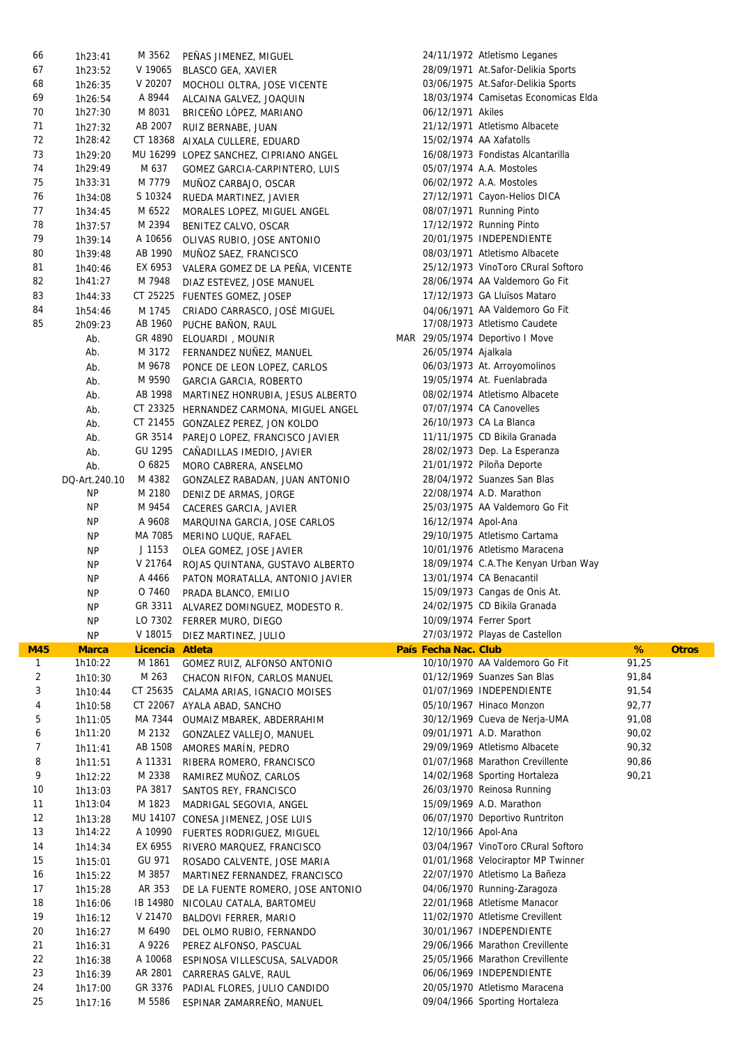| 66           | 1h23:41       | M 3562            | PEÑAS JIMENEZ, MIGUEL                    |                      | 24/11/1972 Atletismo Leganes         |       |              |
|--------------|---------------|-------------------|------------------------------------------|----------------------|--------------------------------------|-------|--------------|
| 67           | 1h23:52       | V 19065           | <b>BLASCO GEA, XAVIER</b>                |                      | 28/09/1971 At.Safor-Delikia Sports   |       |              |
| 68           | 1h26:35       | V 20207           | MOCHOLI OLTRA, JOSE VICENTE              |                      | 03/06/1975 At.Safor-Delikia Sports   |       |              |
| 69           | 1h26:54       | A 8944            | ALCAINA GALVEZ, JOAQUIN                  |                      | 18/03/1974 Camisetas Economicas Elda |       |              |
| 70           | 1h27:30       | M 8031            | BRICEÑO LÓPEZ, MARIANO                   | 06/12/1971 Akiles    |                                      |       |              |
| 71           | 1h27:32       | AB 2007           | RUIZ BERNABE, JUAN                       |                      | 21/12/1971 Atletismo Albacete        |       |              |
| 72           | 1h28:42       |                   | CT 18368 AIXALA CULLERE, EDUARD          |                      | 15/02/1974 AA Xafatolls              |       |              |
| 73           | 1h29:20       |                   | MU 16299 LOPEZ SANCHEZ, CIPRIANO ANGEL   |                      | 16/08/1973 Fondistas Alcantarilla    |       |              |
| 74           | 1h29:49       | M 637             | GOMEZ GARCIA-CARPINTERO, LUIS            |                      | 05/07/1974 A.A. Mostoles             |       |              |
| 75           | 1h33:31       | M 7779            | MUÑOZ CARBAJO, OSCAR                     |                      | 06/02/1972 A.A. Mostoles             |       |              |
| 76           | 1h34:08       | S 10324           | RUEDA MARTINEZ, JAVIER                   |                      | 27/12/1971 Cayon-Helios DICA         |       |              |
| 77           | 1h34:45       | M 6522            | MORALES LOPEZ, MIGUEL ANGEL              |                      | 08/07/1971 Running Pinto             |       |              |
| 78           | 1h37:57       | M 2394            | BENITEZ CALVO, OSCAR                     |                      | 17/12/1972 Running Pinto             |       |              |
| 79           | 1h39:14       | A 10656           | OLIVAS RUBIO, JOSE ANTONIO               |                      | 20/01/1975 INDEPENDIENTE             |       |              |
| 80           | 1h39:48       | AB 1990           | MUNOZ SAEZ, FRANCISCO                    |                      | 08/03/1971 Atletismo Albacete        |       |              |
| 81           | 1h40:46       | EX 6953           | VALERA GOMEZ DE LA PENA, VICENTE         |                      | 25/12/1973 VinoToro CRural Softoro   |       |              |
| 82           | 1h41:27       | M 7948            | DIAZ ESTEVEZ, JOSE MANUEL                |                      | 28/06/1974 AA Valdemoro Go Fit       |       |              |
| 83           | 1h44:33       |                   | CT 25225 FUENTES GOMEZ, JOSEP            |                      | 17/12/1973 GA Lluïsos Mataro         |       |              |
| 84           |               |                   |                                          |                      | 04/06/1971 AA Valdemoro Go Fit       |       |              |
| 85           | 1h54:46       | M 1745<br>AB 1960 | CRIADO CARRASCO, JOSÉ MIGUEL             |                      | 17/08/1973 Atletismo Caudete         |       |              |
|              | 2h09:23       |                   | PUCHE BAÑON, RAUL                        |                      |                                      |       |              |
|              | Ab.           |                   | GR 4890 ELOUARDI, MOUNIR                 |                      | MAR 29/05/1974 Deportivo I Move      |       |              |
|              | Ab.           | M 3172            | FERNANDEZ NUÑEZ, MANUEL                  | 26/05/1974 Ajalkala  |                                      |       |              |
|              | Ab.           | M 9678            | PONCE DE LEON LOPEZ, CARLOS              |                      | 06/03/1973 At. Arroyomolinos         |       |              |
|              | Ab.           | M 9590            | GARCIA GARCIA, ROBERTO                   |                      | 19/05/1974 At. Fuenlabrada           |       |              |
|              | Ab.           | AB 1998           | MARTINEZ HONRUBIA, JESUS ALBERTO         |                      | 08/02/1974 Atletismo Albacete        |       |              |
|              | Ab.           |                   | CT 23325 HERNANDEZ CARMONA, MIGUEL ANGEL |                      | 07/07/1974 CA Canovelles             |       |              |
|              | Ab.           |                   | CT 21455 GONZALEZ PEREZ, JON KOLDO       |                      | 26/10/1973 CA La Blanca              |       |              |
|              | Ab.           | GR 3514           | PAREJO LOPEZ, FRANCISCO JAVIER           |                      | 11/11/1975 CD Bikila Granada         |       |              |
|              | Ab.           | GU 1295           | CANADILLAS IMEDIO, JAVIER                |                      | 28/02/1973 Dep. La Esperanza         |       |              |
|              | Ab.           | O 6825            | MORO CABRERA, ANSELMO                    |                      | 21/01/1972 Piloña Deporte            |       |              |
|              | DQ-Art.240.10 | M 4382            | GONZALEZ RABADAN, JUAN ANTONIO           |                      | 28/04/1972 Suanzes San Blas          |       |              |
|              | NP.           | M 2180            | DENIZ DE ARMAS, JORGE                    |                      | 22/08/1974 A.D. Marathon             |       |              |
|              | NP            | M 9454            | CACERES GARCIA, JAVIER                   |                      | 25/03/1975 AA Valdemoro Go Fit       |       |              |
|              | <b>NP</b>     | A 9608            | MARQUINA GARCIA, JOSE CARLOS             | 16/12/1974 Apol-Ana  |                                      |       |              |
|              | <b>NP</b>     | MA 7085           | MERINO LUQUE, RAFAEL                     |                      | 29/10/1975 Atletismo Cartama         |       |              |
|              | <b>NP</b>     | J 1153            | OLEA GOMEZ, JOSE JAVIER                  |                      | 10/01/1976 Atletismo Maracena        |       |              |
|              | <b>NP</b>     | V 21764           | ROJAS QUINTANA, GUSTAVO ALBERTO          |                      | 18/09/1974 C.A.The Kenyan Urban Way  |       |              |
|              | <b>NP</b>     | A 4466            | PATON MORATALLA, ANTONIO JAVIER          |                      | 13/01/1974 CA Benacantil             |       |              |
|              | <b>NP</b>     | O 7460            | PRADA BLANCO, EMILIO                     |                      | 15/09/1973 Cangas de Onis At.        |       |              |
|              | <b>NP</b>     |                   | GR 3311 ALVAREZ DOMINGUEZ, MODESTO R.    |                      | 24/02/1975 CD Bikila Granada         |       |              |
|              | <b>NP</b>     |                   | LO 7302 FERRER MURO, DIEGO               |                      | 10/09/1974 Ferrer Sport              |       |              |
|              | <b>NP</b>     | V 18015           | DIEZ MARTINEZ, JULIO                     |                      | 27/03/1972 Playas de Castellon       |       |              |
| <b>M45</b>   | <b>Marca</b>  | <b>Licencia</b>   | <b>Atleta</b>                            | País Fecha Nac. Club |                                      | %     | <b>Otros</b> |
| $\mathbf{1}$ | 1h10:22       | M 1861            | GOMEZ RUIZ, ALFONSO ANTONIO              |                      | 10/10/1970 AA Valdemoro Go Fit       | 91,25 |              |
| 2            | 1h10:30       | M 263             | CHACON RIFON, CARLOS MANUEL              |                      | 01/12/1969 Suanzes San Blas          | 91,84 |              |
| 3            | 1h10:44       | CT 25635          | CALAMA ARIAS, IGNACIO MOISES             |                      | 01/07/1969 INDEPENDIENTE             | 91,54 |              |
| 4            | 1h10:58       | CT 22067          | AYALA ABAD, SANCHO                       |                      | 05/10/1967 Hinaco Monzon             | 92,77 |              |
| 5            | 1h11:05       | MA 7344           | OUMAIZ MBAREK, ABDERRAHIM                |                      | 30/12/1969 Cueva de Nerja-UMA        | 91,08 |              |
| 6            | 1h11:20       | M 2132            | GONZALEZ VALLEJO, MANUEL                 |                      | 09/01/1971 A.D. Marathon             | 90,02 |              |
| 7            | 1h11:41       | AB 1508           | AMORES MARÍN, PEDRO                      |                      | 29/09/1969 Atletismo Albacete        | 90,32 |              |
| 8            | 1h11:51       | A 11331           | RIBERA ROMERO, FRANCISCO                 |                      | 01/07/1968 Marathon Crevillente      | 90,86 |              |
| 9            | 1h12:22       | M 2338            | RAMIREZ MUÑOZ, CARLOS                    |                      | 14/02/1968 Sporting Hortaleza        | 90,21 |              |
| 10           | 1h13:03       | PA 3817           | SANTOS REY, FRANCISCO                    |                      | 26/03/1970 Reinosa Running           |       |              |
| 11           | 1h13:04       | M 1823            | MADRIGAL SEGOVIA, ANGEL                  |                      | 15/09/1969 A.D. Marathon             |       |              |
| 12           | 1h13:28       |                   | MU 14107 CONESA JIMENEZ, JOSE LUIS       |                      | 06/07/1970 Deportivo Runtriton       |       |              |
| 13           | 1h14:22       | A 10990           | FUERTES RODRIGUEZ, MIGUEL                | 12/10/1966 Apol-Ana  |                                      |       |              |
| 14           | 1h14:34       | EX 6955           | RIVERO MARQUEZ, FRANCISCO                |                      | 03/04/1967 VinoToro CRural Softoro   |       |              |
| 15           | 1h15:01       | GU 971            | ROSADO CALVENTE, JOSE MARIA              |                      | 01/01/1968 Velociraptor MP Twinner   |       |              |
| 16           | 1h15:22       | M 3857            | MARTINEZ FERNANDEZ, FRANCISCO            |                      | 22/07/1970 Atletismo La Bañeza       |       |              |
| 17           | 1h15:28       | AR 353            | DE LA FUENTE ROMERO, JOSE ANTONIO        |                      | 04/06/1970 Running-Zaragoza          |       |              |
| 18           | 1h16:06       | IB 14980          | NICOLAU CATALA, BARTOMEU                 |                      | 22/01/1968 Atletisme Manacor         |       |              |
| 19           | 1h16:12       | V 21470           | BALDOVI FERRER, MARIO                    |                      | 11/02/1970 Atletisme Crevillent      |       |              |
| 20           | 1h16:27       | M 6490            | DEL OLMO RUBIO, FERNANDO                 |                      | 30/01/1967 INDEPENDIENTE             |       |              |
| 21           | 1h16:31       | A 9226            | PEREZ ALFONSO, PASCUAL                   |                      | 29/06/1966 Marathon Crevillente      |       |              |
| 22           | 1h16:38       | A 10068           | ESPINOSA VILLESCUSA, SALVADOR            |                      | 25/05/1966 Marathon Crevillente      |       |              |
| 23           | 1h16:39       | AR 2801           | CARRERAS GALVE, RAUL                     |                      | 06/06/1969 INDEPENDIENTE             |       |              |
| 24           | 1h17:00       | GR 3376           | PADIAL FLORES, JULIO CANDIDO             |                      | 20/05/1970 Atletismo Maracena        |       |              |
| 25           | 1h17:16       | M 5586            | ESPINAR ZAMARREÑO, MANUEL                |                      | 09/04/1966 Sporting Hortaleza        |       |              |
|              |               |                   |                                          |                      |                                      |       |              |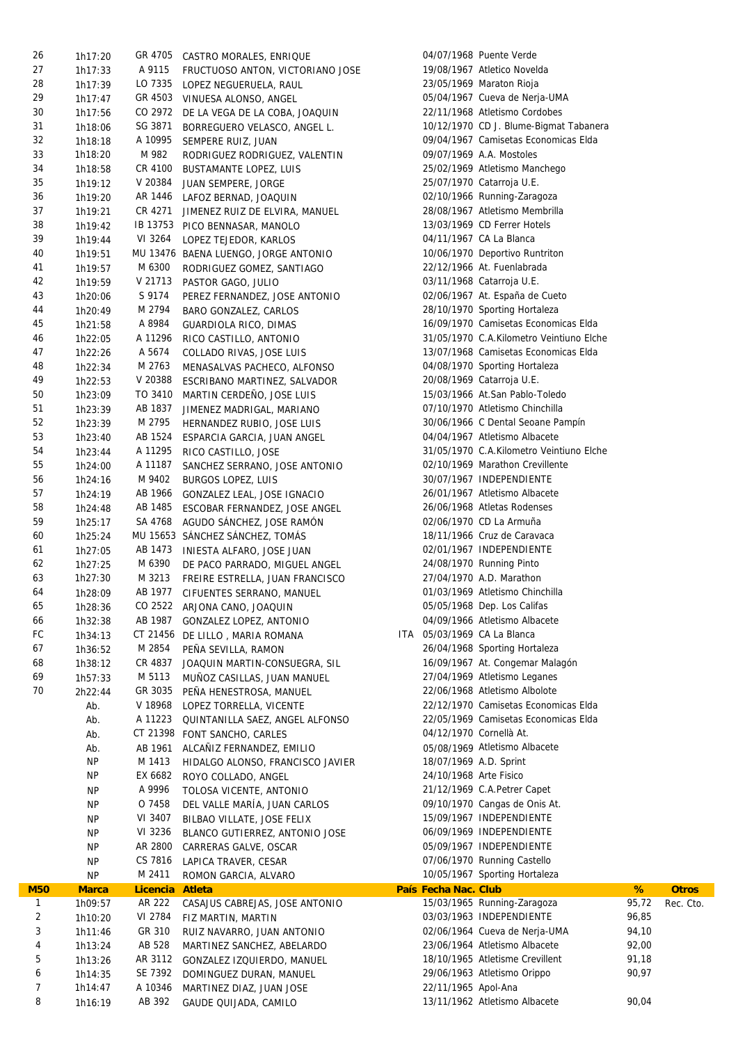| 26           | 1h17:20            |                   | GR 4705 CASTRO MORALES, ENRIQUE                   |                        | 04/07/1968 Puente Verde                  |       |              |
|--------------|--------------------|-------------------|---------------------------------------------------|------------------------|------------------------------------------|-------|--------------|
| 27           | 1h17:33            | A 9115            | FRUCTUOSO ANTON, VICTORIANO JOSE                  |                        | 19/08/1967 Atletico Novelda              |       |              |
| 28           | 1h17:39            | LO 7335           | LOPEZ NEGUERUELA, RAUL                            |                        | 23/05/1969 Maraton Rioja                 |       |              |
| 29           | 1h17:47            |                   | GR 4503 VINUESA ALONSO, ANGEL                     |                        | 05/04/1967 Cueva de Nerja-UMA            |       |              |
| 30           | 1h17:56            | CO 2972           | DE LA VEGA DE LA COBA, JOAQUIN                    |                        | 22/11/1968 Atletismo Cordobes            |       |              |
| 31           | 1h18:06            | SG 3871           | BORREGUERO VELASCO, ANGEL L.                      |                        | 10/12/1970 CD J. Blume-Bigmat Tabanera   |       |              |
| 32           | 1h18:18            | A 10995           | SEMPERE RUIZ, JUAN                                |                        | 09/04/1967 Camisetas Economicas Elda     |       |              |
| 33           | 1h18:20            | M 982             | RODRIGUEZ RODRIGUEZ, VALENTIN                     |                        | 09/07/1969 A.A. Mostoles                 |       |              |
| 34           | 1h18:58            | CR 4100           | <b>BUSTAMANTE LOPEZ, LUIS</b>                     |                        | 25/02/1969 Atletismo Manchego            |       |              |
| 35           | 1h19:12            | V 20384           | JUAN SEMPERE, JORGE                               |                        | 25/07/1970 Catarroja U.E.                |       |              |
| 36           | 1h19:20            | AR 1446           |                                                   |                        | 02/10/1966 Running-Zaragoza              |       |              |
| 37           |                    |                   | LAFOZ BERNAD, JOAQUIN                             |                        | 28/08/1967 Atletismo Membrilla           |       |              |
|              | 1h19:21            | CR 4271           | JIMENEZ RUIZ DE ELVIRA, MANUEL                    |                        |                                          |       |              |
| 38           | 1h19:42            |                   | IB 13753 PICO BENNASAR, MANOLO                    |                        | 13/03/1969 CD Ferrer Hotels              |       |              |
| 39           | 1h19:44            | VI 3264           | LOPEZ TEJEDOR, KARLOS                             |                        | 04/11/1967 CA La Blanca                  |       |              |
| 40           | 1h19:51            |                   | MU 13476 BAENA LUENGO, JORGE ANTONIO              |                        | 10/06/1970 Deportivo Runtriton           |       |              |
| 41           | 1h19:57            | M 6300            | RODRIGUEZ GOMEZ, SANTIAGO                         |                        | 22/12/1966 At. Fuenlabrada               |       |              |
| 42           | 1h19:59            | V 21713           | PASTOR GAGO, JULIO                                |                        | 03/11/1968 Catarroja U.E.                |       |              |
| 43           | 1h20:06            | S 9174            | PEREZ FERNANDEZ, JOSE ANTONIO                     |                        | 02/06/1967 At. España de Cueto           |       |              |
| 44           | 1h20:49            | M 2794            | BARO GONZALEZ, CARLOS                             |                        | 28/10/1970 Sporting Hortaleza            |       |              |
| 45           | 1h21:58            | A 8984            | <b>GUARDIOLA RICO, DIMAS</b>                      |                        | 16/09/1970 Camisetas Economicas Elda     |       |              |
| 46           | 1h22:05            | A 11296           | RICO CASTILLO, ANTONIO                            |                        | 31/05/1970 C.A.Kilometro Veintiuno Elche |       |              |
| 47           | 1h22:26            | A 5674            | COLLADO RIVAS, JOSE LUIS                          |                        | 13/07/1968 Camisetas Economicas Elda     |       |              |
| 48           | 1h22:34            | M 2763            | MENASALVAS PACHECO, ALFONSO                       |                        | 04/08/1970 Sporting Hortaleza            |       |              |
| 49           | 1h22:53            | V 20388           | ESCRIBANO MARTINEZ, SALVADOR                      |                        | 20/08/1969 Catarroja U.E.                |       |              |
| 50           | 1h23:09            | TO 3410           | MARTIN CERDENO, JOSE LUIS                         |                        | 15/03/1966 At.San Pablo-Toledo           |       |              |
| 51           | 1h23:39            | AB 1837           | JIMENEZ MADRIGAL, MARIANO                         |                        | 07/10/1970 Atletismo Chinchilla          |       |              |
| 52           | 1h23:39            | M 2795            | HERNANDEZ RUBIO, JOSE LUIS                        |                        | 30/06/1966 C Dental Seoane Pampín        |       |              |
| 53           | 1h23:40            | AB 1524           | ESPARCIA GARCIA, JUAN ANGEL                       |                        | 04/04/1967 Atletismo Albacete            |       |              |
| 54           | 1h23:44            | A 11295           | RICO CASTILLO, JOSE                               |                        | 31/05/1970 C.A.Kilometro Veintiuno Elche |       |              |
| 55           | 1h24:00            | A 11187           | SANCHEZ SERRANO, JOSE ANTONIO                     |                        | 02/10/1969 Marathon Crevillente          |       |              |
| 56           | 1h24:16            | M 9402            | <b>BURGOS LOPEZ, LUIS</b>                         |                        | 30/07/1967 INDEPENDIENTE                 |       |              |
| 57           | 1h24:19            | AB 1966           | GONZALEZ LEAL, JOSE IGNACIO                       |                        | 26/01/1967 Atletismo Albacete            |       |              |
| 58           | 1h24:48            | AB 1485           | ESCOBAR FERNANDEZ, JOSE ANGEL                     |                        | 26/06/1968 Atletas Rodenses              |       |              |
| 59           | 1h25:17            | SA 4768           | AGUDO SÁNCHEZ, JOSE RAMÓN                         |                        | 02/06/1970 CD La Armuña                  |       |              |
|              |                    |                   |                                                   |                        |                                          |       |              |
| 60           | 1h25:24            |                   | MU 15653 SÁNCHEZ SÁNCHEZ, TOMÁS                   |                        | 18/11/1966 Cruz de Caravaca              |       |              |
| 61           | 1h27:05            | AB 1473           | INIESTA ALFARO, JOSE JUAN                         |                        | 02/01/1967 INDEPENDIENTE                 |       |              |
| 62           | 1h27:25            | M 6390            | DE PACO PARRADO, MIGUEL ANGEL                     |                        | 24/08/1970 Running Pinto                 |       |              |
| 63           | 1h27:30            | M 3213            | FREIRE ESTRELLA, JUAN FRANCISCO                   |                        | 27/04/1970 A.D. Marathon                 |       |              |
| 64           | 1h28:09            | AB 1977           | CIFUENTES SERRANO, MANUEL                         |                        | 01/03/1969 Atletismo Chinchilla          |       |              |
| 65           | 1h28:36            |                   | CO 2522 ARJONA CANO, JOAQUIN                      |                        | 05/05/1968 Dep. Los Califas              |       |              |
| 66           | 1h32:38            |                   | AB 1987 GONZALEZ LOPEZ, ANTONIO                   |                        | 04/09/1966 Atletismo Albacete            |       |              |
| FC           | 1h34:13            |                   | CT 21456 DE LILLO, MARIA ROMANA                   |                        | ITA 05/03/1969 CA La Blanca              |       |              |
| 67           | 1h36:52            |                   |                                                   |                        |                                          |       |              |
| 68           |                    | M 2854            | PEÑA SEVILLA, RAMON                               |                        | 26/04/1968 Sporting Hortaleza            |       |              |
| 69           | 1h38:12            | CR 4837           | JOAQUIN MARTIN-CONSUEGRA, SIL                     |                        | 16/09/1967 At. Congemar Malagón          |       |              |
|              | 1h57:33            | M 5113            | MUNOZ CASILLAS, JUAN MANUEL                       |                        | 27/04/1969 Atletismo Leganes             |       |              |
| 70           | 2h22:44            | GR 3035           | PEÑA HENESTROSA, MANUEL                           |                        | 22/06/1968 Atletismo Albolote            |       |              |
|              | Ab.                | V 18968           | LOPEZ TORRELLA, VICENTE                           |                        | 22/12/1970 Camisetas Economicas Elda     |       |              |
|              | Ab.                | A 11223           | QUINTANILLA SAEZ, ANGEL ALFONSO                   |                        | 22/05/1969 Camisetas Economicas Elda     |       |              |
|              | Ab.                |                   | CT 21398 FONT SANCHO, CARLES                      |                        | 04/12/1970 Cornellà At.                  |       |              |
|              | Ab.                | AB 1961           | ALCAÑIZ FERNANDEZ, EMILIO                         |                        | 05/08/1969 Atletismo Albacete            |       |              |
|              | <b>NP</b>          | M 1413            | HIDALGO ALONSO, FRANCISCO JAVIER                  | 18/07/1969 A.D. Sprint |                                          |       |              |
|              | <b>NP</b>          | EX 6682           |                                                   | 24/10/1968 Arte Fisico |                                          |       |              |
|              |                    | A 9996            | ROYO COLLADO, ANGEL                               |                        |                                          |       |              |
|              | <b>NP</b>          |                   | TOLOSA VICENTE, ANTONIO                           |                        | 21/12/1969 C.A.Petrer Capet              |       |              |
|              | ΝP                 | O 7458            | DEL VALLE MARÍA, JUAN CARLOS                      |                        | 09/10/1970 Cangas de Onis At.            |       |              |
|              | NP.                | VI 3407           | BILBAO VILLATE, JOSE FELIX                        |                        | 15/09/1967 INDEPENDIENTE                 |       |              |
|              | <b>NP</b>          | VI 3236           | BLANCO GUTIERREZ, ANTONIO JOSE                    |                        | 06/09/1969 INDEPENDIENTE                 |       |              |
|              | ΝP                 | AR 2800           | CARRERAS GALVE, OSCAR                             |                        | 05/09/1967 INDEPENDIENTE                 |       |              |
|              | <b>NP</b>          | CS 7816           | LAPICA TRAVER, CESAR                              |                        | 07/06/1970 Running Castello              |       |              |
|              | <b>NP</b>          | M 2411            | ROMON GARCIA, ALVARO                              |                        | 10/05/1967 Sporting Hortaleza            |       |              |
| <b>M50</b>   | <b>Marca</b>       | Licencia          | <b>Atleta</b>                                     | País Fecha Nac. Club   |                                          | %     | <b>Otros</b> |
| $\mathbf{1}$ | 1h09:57            | AR 222            | CASAJUS CABREJAS, JOSE ANTONIO                    |                        | 15/03/1965 Running-Zaragoza              | 95,72 | Rec. Cto.    |
| 2            | 1h10:20            | VI 2784           | FIZ MARTIN, MARTIN                                |                        | 03/03/1963 INDEPENDIENTE                 | 96,85 |              |
| 3            | 1h11:46            | GR 310            | RUIZ NAVARRO, JUAN ANTONIO                        |                        | 02/06/1964 Cueva de Nerja-UMA            | 94,10 |              |
| 4            | 1h13:24            | AB 528            | MARTINEZ SANCHEZ, ABELARDO                        |                        | 23/06/1964 Atletismo Albacete            | 92,00 |              |
| 5            | 1h13:26            | AR 3112           | GONZALEZ IZQUIERDO, MANUEL                        |                        | 18/10/1965 Atletisme Crevillent          | 91,18 |              |
| 6            | 1h14:35            | SE 7392           | DOMINGUEZ DURAN, MANUEL                           |                        | 29/06/1963 Atletismo Orippo              | 90,97 |              |
| 7<br>8       | 1h14:47<br>1h16:19 | A 10346<br>AB 392 | MARTINEZ DIAZ, JUAN JOSE<br>GAUDE QUIJADA, CAMILO | 22/11/1965 Apol-Ana    | 13/11/1962 Atletismo Albacete            | 90,04 |              |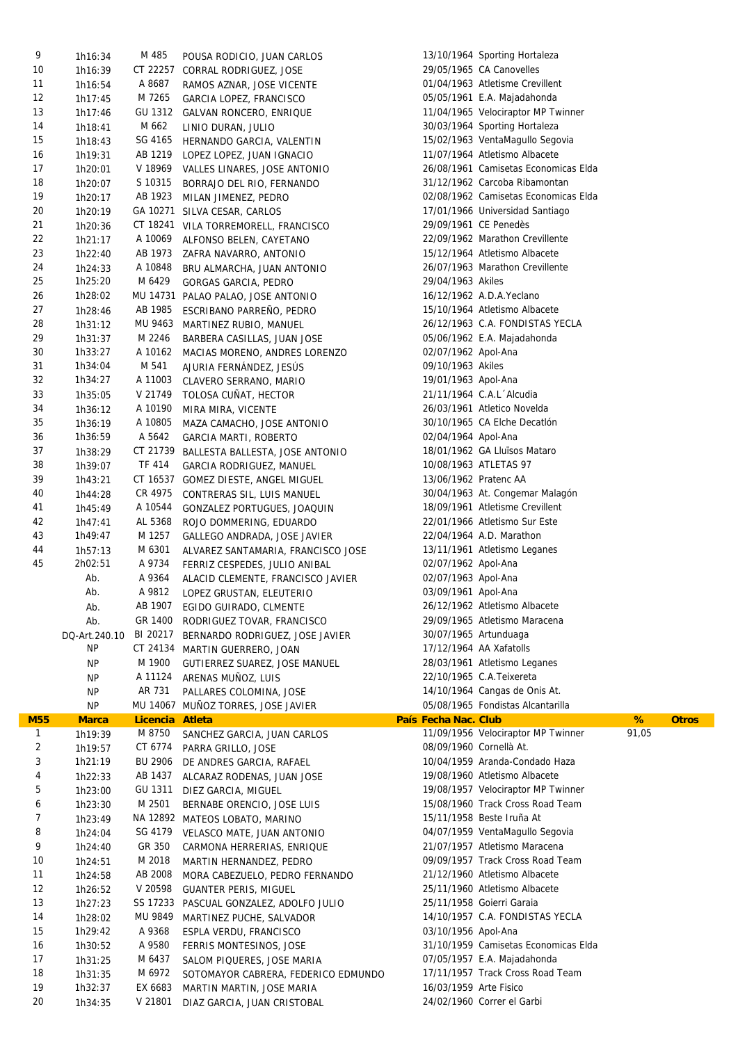| 9            | 1h16:34            | M 485              | POUSA RODICIO, JUAN CARLOS                               |                        | 13/10/1964 Sporting Hortaleza        |       |              |
|--------------|--------------------|--------------------|----------------------------------------------------------|------------------------|--------------------------------------|-------|--------------|
| 10           | 1h16:39            |                    | CT 22257 CORRAL RODRIGUEZ, JOSE                          |                        | 29/05/1965 CA Canovelles             |       |              |
| 11           | 1h16:54            | A 8687             | RAMOS AZNAR, JOSE VICENTE                                |                        | 01/04/1963 Atletisme Crevillent      |       |              |
| 12           | 1h17:45            | M 7265             | GARCIA LOPEZ, FRANCISCO                                  |                        | 05/05/1961 E.A. Majadahonda          |       |              |
| 13           | 1h17:46            |                    | GU 1312 GALVAN RONCERO, ENRIQUE                          |                        | 11/04/1965 Velociraptor MP Twinner   |       |              |
| 14           | 1h18:41            | M 662              | LINIO DURAN, JULIO                                       |                        | 30/03/1964 Sporting Hortaleza        |       |              |
| 15           | 1h18:43            | SG 4165            | HERNANDO GARCIA, VALENTIN                                |                        | 15/02/1963 VentaMagullo Segovia      |       |              |
| 16           |                    | AB 1219            |                                                          |                        | 11/07/1964 Atletismo Albacete        |       |              |
| 17           | 1h19:31            | V 18969            | LOPEZ LOPEZ, JUAN IGNACIO                                |                        | 26/08/1961 Camisetas Economicas Elda |       |              |
|              | 1h20:01            |                    | VALLES LINARES, JOSE ANTONIO                             |                        | 31/12/1962 Carcoba Ribamontan        |       |              |
| 18           | 1h20:07            | S 10315            | BORRAJO DEL RIO, FERNANDO                                |                        |                                      |       |              |
| 19           | 1h20:17            | AB 1923            | MILAN JIMENEZ, PEDRO                                     |                        | 02/08/1962 Camisetas Economicas Elda |       |              |
| 20           | 1h20:19            |                    | GA 10271 SILVA CESAR, CARLOS                             |                        | 17/01/1966 Universidad Santiago      |       |              |
| 21           | 1h20:36            |                    | CT 18241 VILA TORREMORELL, FRANCISCO                     |                        | 29/09/1961 CE Penedès                |       |              |
| 22           | 1h21:17            |                    | A 10069 ALFONSO BELEN, CAYETANO                          |                        | 22/09/1962 Marathon Crevillente      |       |              |
| 23           | 1h22:40            |                    | AB 1973 ZAFRA NAVARRO, ANTONIO                           |                        | 15/12/1964 Atletismo Albacete        |       |              |
| 24           | 1h24:33            | A 10848            | BRU ALMARCHA, JUAN ANTONIO                               |                        | 26/07/1963 Marathon Crevillente      |       |              |
| 25           | 1h25:20            | M 6429             | GORGAS GARCIA, PEDRO                                     | 29/04/1963 Akiles      |                                      |       |              |
| 26           | 1h28:02            |                    | MU 14731 PALAO PALAO, JOSE ANTONIO                       |                        | 16/12/1962 A.D.A.Yeclano             |       |              |
| 27           | 1h28:46            | AB 1985            | ESCRIBANO PARREÑO, PEDRO                                 |                        | 15/10/1964 Atletismo Albacete        |       |              |
| 28           | 1h31:12            | MU 9463            | MARTINEZ RUBIO, MANUEL                                   |                        | 26/12/1963 C.A. FONDISTAS YECLA      |       |              |
| 29           | 1h31:37            | M 2246             | BARBERA CASILLAS, JUAN JOSE                              |                        | 05/06/1962 E.A. Majadahonda          |       |              |
| 30           | 1h33:27            | A 10162            | MACIAS MORENO, ANDRES LORENZO                            | 02/07/1962 Apol-Ana    |                                      |       |              |
| 31           | 1h34:04            | M 541              | AJURIA FERNÁNDEZ, JESÚS                                  | 09/10/1963 Akiles      |                                      |       |              |
| 32           | 1h34:27            | A 11003            |                                                          | 19/01/1963 Apol-Ana    |                                      |       |              |
|              |                    |                    | CLAVERO SERRANO, MARIO                                   |                        |                                      |       |              |
| 33           | 1h35:05            |                    | V 21749 TOLOSA CUÑAT, HECTOR                             |                        | 21/11/1964 C.A.L Alcudia             |       |              |
| 34           | 1h36:12            | A 10190            | MIRA MIRA, VICENTE                                       |                        | 26/03/1961 Atletico Novelda          |       |              |
| 35           | 1h36:19            | A 10805            | MAZA CAMACHO, JOSE ANTONIO                               |                        | 30/10/1965 CA Elche Decatlón         |       |              |
| 36           | 1h36:59            | A 5642             | <b>GARCIA MARTI, ROBERTO</b>                             | 02/04/1964 Apol-Ana    |                                      |       |              |
| 37           | 1h38:29            |                    | CT 21739 BALLESTA BALLESTA, JOSE ANTONIO                 |                        | 18/01/1962 GA Lluïsos Mataro         |       |              |
| 38           | 1h39:07            | TF 414             | GARCIA RODRIGUEZ, MANUEL                                 |                        | 10/08/1963 ATLETAS 97                |       |              |
| 39           | 1h43:21            |                    | CT 16537 GOMEZ DIESTE, ANGEL MIGUEL                      |                        | 13/06/1962 Pratenc AA                |       |              |
| 40           | 1h44:28            | CR 4975            | CONTRERAS SIL, LUIS MANUEL                               |                        | 30/04/1963 At. Congemar Malagón      |       |              |
| 41           | 1h45:49            | A 10544            | GONZALEZ PORTUGUES, JOAQUIN                              |                        | 18/09/1961 Atletisme Crevillent      |       |              |
| 42           | 1h47:41            | AL 5368            | ROJO DOMMERING, EDUARDO                                  |                        | 22/01/1966 Atletismo Sur Este        |       |              |
| 43           | 1h49:47            | M 1257             | GALLEGO ANDRADA, JOSE JAVIER                             |                        | 22/04/1964 A.D. Marathon             |       |              |
| 44           | 1h57:13            | M 6301             | ALVAREZ SANTAMARIA, FRANCISCO JOSE                       |                        | 13/11/1961 Atletismo Leganes         |       |              |
| 45           | 2h02:51            | A 9734             | FERRIZ CESPEDES, JULIO ANIBAL                            | 02/07/1962 Apol-Ana    |                                      |       |              |
|              | Ab.                | A 9364             | ALACID CLEMENTE, FRANCISCO JAVIER                        | 02/07/1963 Apol-Ana    |                                      |       |              |
|              | Ab.                | A 9812             | LOPEZ GRUSTAN, ELEUTERIO                                 | 03/09/1961 Apol-Ana    |                                      |       |              |
|              | Ab.                |                    | AB 1907 EGIDO GUIRADO, CLMENTE                           |                        | 26/12/1962 Atletismo Albacete        |       |              |
|              | Ab.                |                    | GR 1400 RODRIGUEZ TOVAR, FRANCISCO                       |                        | 29/09/1965 Atletismo Maracena        |       |              |
|              | DQ-Art.240.10      |                    | BI 20217 BERNARDO RODRIGUEZ, JOSE JAVIER                 |                        | 30/07/1965 Artunduaga                |       |              |
|              | <b>NP</b>          |                    | CT 24134 MARTIN GUERRERO, JOAN                           |                        | 17/12/1964 AA Xafatolls              |       |              |
|              |                    | M 1900             |                                                          |                        |                                      |       |              |
|              | <b>NP</b>          |                    | GUTIERREZ SUAREZ, JOSE MANUEL                            |                        | 28/03/1961 Atletismo Leganes         |       |              |
|              | <b>NP</b>          | A 11124            | ARENAS MUNOZ, LUIS                                       |                        | 22/10/1965 C.A.Teixereta             |       |              |
|              | <b>NP</b>          | AR 731             | PALLARES COLOMINA, JOSE                                  |                        | 14/10/1964 Cangas de Onis At.        |       |              |
|              | <b>NP</b>          |                    | MU 14067 MUÑOZ TORRES, JOSE JAVIER                       |                        |                                      |       |              |
| <b>M55</b>   |                    |                    |                                                          |                        | 05/08/1965 Fondistas Alcantarilla    |       |              |
| $\mathbf{1}$ | <b>Marca</b>       | Licencia Atleta    |                                                          | País Fecha Nac. Club   |                                      | %     | <b>Otros</b> |
|              | 1h19:39            | M 8750             | SANCHEZ GARCIA, JUAN CARLOS                              |                        | 11/09/1956 Velociraptor MP Twinner   | 91,05 |              |
| 2            | 1h19:57            | CT 6774            | PARRA GRILLO, JOSE                                       |                        | 08/09/1960 Cornellà At.              |       |              |
| 3            | 1h21:19            | BU 2906            | DE ANDRES GARCIA, RAFAEL                                 |                        | 10/04/1959 Aranda-Condado Haza       |       |              |
| 4            | 1h22:33            | AB 1437            | ALCARAZ RODENAS, JUAN JOSE                               |                        | 19/08/1960 Atletismo Albacete        |       |              |
| 5            | 1h23:00            | GU 1311            | DIEZ GARCIA, MIGUEL                                      |                        | 19/08/1957 Velociraptor MP Twinner   |       |              |
| 6            | 1h23:30            | M 2501             | BERNABE ORENCIO, JOSE LUIS                               |                        | 15/08/1960 Track Cross Road Team     |       |              |
| 7            | 1h23:49            |                    | NA 12892 MATEOS LOBATO, MARINO                           |                        | 15/11/1958 Beste Iruña At            |       |              |
| 8            | 1h24:04            | SG 4179            | VELASCO MATE, JUAN ANTONIO                               |                        | 04/07/1959 VentaMagullo Segovia      |       |              |
| 9            | 1h24:40            | GR 350             | CARMONA HERRERIAS, ENRIQUE                               |                        | 21/07/1957 Atletismo Maracena        |       |              |
| 10           |                    | M 2018             |                                                          |                        | 09/09/1957 Track Cross Road Team     |       |              |
|              | 1h24:51            |                    | MARTIN HERNANDEZ, PEDRO                                  |                        |                                      |       |              |
| 11           | 1h24:58            | AB 2008            | MORA CABEZUELO, PEDRO FERNANDO                           |                        | 21/12/1960 Atletismo Albacete        |       |              |
| 12           | 1h26:52            | V 20598            | <b>GUANTER PERIS, MIGUEL</b>                             |                        | 25/11/1960 Atletismo Albacete        |       |              |
| 13           | 1h27:23            |                    | SS 17233 PASCUAL GONZALEZ, ADOLFO JULIO                  |                        | 25/11/1958 Goierri Garaia            |       |              |
| 14           | 1h28:02            | MU 9849            | MARTINEZ PUCHE, SALVADOR                                 |                        | 14/10/1957 C.A. FONDISTAS YECLA      |       |              |
| 15           | 1h29:42            | A 9368             | ESPLA VERDU, FRANCISCO                                   | 03/10/1956 Apol-Ana    |                                      |       |              |
| 16           | 1h30:52            | A 9580             | FERRIS MONTESINOS, JOSE                                  |                        | 31/10/1959 Camisetas Economicas Elda |       |              |
| 17           | 1h31:25            | M 6437             | SALOM PIQUERES, JOSE MARIA                               |                        | 07/05/1957 E.A. Majadahonda          |       |              |
| 18           | 1h31:35            | M 6972             | SOTOMAYOR CABRERA, FEDERICO EDMUNDO                      |                        | 17/11/1957 Track Cross Road Team     |       |              |
| 19<br>20     | 1h32:37<br>1h34:35 | EX 6683<br>V 21801 | MARTIN MARTIN, JOSE MARIA<br>DIAZ GARCIA, JUAN CRISTOBAL | 16/03/1959 Arte Fisico | 24/02/1960 Correr el Garbi           |       |              |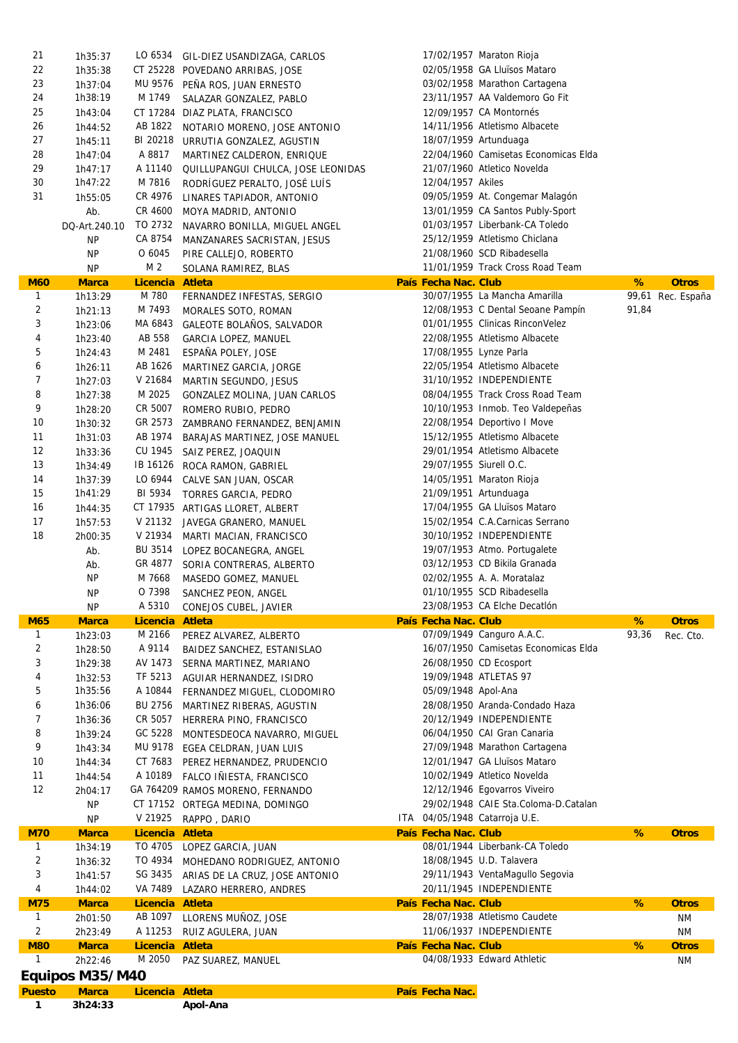| 1              | 3h24:33         |                 | Apol-Ana                               |                         |                                      |       |                   |
|----------------|-----------------|-----------------|----------------------------------------|-------------------------|--------------------------------------|-------|-------------------|
| <b>Puesto</b>  | <b>Marca</b>    | Licencia Atleta |                                        | País Fecha Nac.         |                                      |       |                   |
|                | Equipos M35/M40 |                 |                                        |                         |                                      |       |                   |
| $\mathbf{1}$   | 2h22:46         | M 2050          | PAZ SUAREZ, MANUEL                     |                         | 04/08/1933 Edward Athletic           |       | <b>NM</b>         |
| <b>M80</b>     | <b>Marca</b>    | Licencia Atleta |                                        | País Fecha Nac. Club    |                                      | %     | <b>Otros</b>      |
| 2              | 2h23:49         | A 11253         | RUIZ AGULERA, JUAN                     |                         | 11/06/1937 INDEPENDIENTE             |       | <b>NM</b>         |
| $\mathbf{1}$   | 2h01:50         | AB 1097         | LLORENS MUÑOZ, JOSE                    |                         | 28/07/1938 Atletismo Caudete         |       | ΝM                |
| <b>M75</b>     | <b>Marca</b>    | Licencia Atleta |                                        | País Fecha Nac. Club    |                                      | %     | <b>Otros</b>      |
| 4              | 1h44:02         | VA 7489         | LAZARO HERRERO, ANDRES                 |                         | 20/11/1945 INDEPENDIENTE             |       |                   |
| 3              | 1h41:57         |                 | SG 3435 ARIAS DE LA CRUZ, JOSE ANTONIO |                         | 29/11/1943 VentaMagullo Segovia      |       |                   |
| $\overline{2}$ | 1h36:32         |                 | TO 4934 MOHEDANO RODRIGUEZ, ANTONIO    |                         | 18/08/1945 U.D. Talavera             |       |                   |
| $\mathbf{1}$   | 1h34:19         |                 | TO 4705 LOPEZ GARCIA, JUAN             |                         | 08/01/1944 Liberbank-CA Toledo       |       |                   |
| <b>M70</b>     | <b>Marca</b>    | Licencia Atleta |                                        | País Fecha Nac. Club    |                                      | %     | <b>Otros</b>      |
|                | <b>NP</b>       | V 21925         | RAPPO, DARIO                           |                         | ITA 04/05/1948 Catarroja U.E.        |       |                   |
|                | <b>NP</b>       |                 | CT 17152 ORTEGA MEDINA, DOMINGO        |                         | 29/02/1948 CAIE Sta.Coloma-D.Catalan |       |                   |
|                | 2h04:17         |                 | GA 764209 RAMOS MORENO, FERNANDO       |                         |                                      |       |                   |
| 12             |                 |                 |                                        |                         | 12/12/1946 Egovarros Viveiro         |       |                   |
| 11             | 1h44:54         |                 | A 10189 FALCO IÑIESTA, FRANCISCO       |                         | 10/02/1949 Atletico Novelda          |       |                   |
| 10             | 1h44:34         |                 | CT 7683 PEREZ HERNANDEZ, PRUDENCIO     |                         | 12/01/1947 GA Lluïsos Mataro         |       |                   |
| 9              | 1h43:34         |                 | MU 9178 EGEA CELDRAN, JUAN LUIS        |                         | 27/09/1948 Marathon Cartagena        |       |                   |
| 8              | 1h39:24         |                 | GC 5228 MONTESDEOCA NAVARRO, MIGUEL    |                         | 06/04/1950 CAI Gran Canaria          |       |                   |
| 7              | 1h36:36         |                 | CR 5057 HERRERA PINO, FRANCISCO        |                         | 20/12/1949 INDEPENDIENTE             |       |                   |
| 6              | 1h36:06         |                 | BU 2756 MARTINEZ RIBERAS, AGUSTIN      |                         | 28/08/1950 Aranda-Condado Haza       |       |                   |
|                |                 |                 |                                        |                         |                                      |       |                   |
| 5              | 1h35:56         | A 10844         | FERNANDEZ MIGUEL, CLODOMIRO            | 05/09/1948 Apol-Ana     |                                      |       |                   |
| 4              | 1h32:53         | TF 5213         | AGUIAR HERNANDEZ, ISIDRO               |                         | 19/09/1948 ATLETAS 97                |       |                   |
| 3              | 1h29:38         |                 | AV 1473 SERNA MARTINEZ, MARIANO        |                         | 26/08/1950 CD Ecosport               |       |                   |
| 2              | 1h28:50         | A 9114          | BAIDEZ SANCHEZ, ESTANISLAO             |                         | 16/07/1950 Camisetas Economicas Elda |       |                   |
| $\mathbf{1}$   | 1h23:03         | M 2166          | PEREZ ALVAREZ, ALBERTO                 |                         | 07/09/1949 Canguro A.A.C.            | 93,36 | Rec. Cto.         |
| <b>M65</b>     | <b>Marca</b>    | Licencia Atleta |                                        | País Fecha Nac. Club    |                                      | %     | <b>Otros</b>      |
|                | <b>NP</b>       |                 | A 5310 CONEJOS CUBEL, JAVIER           |                         | 23/08/1953 CA Elche Decatlón         |       |                   |
|                | <b>NP</b>       | O 7398          | SANCHEZ PEON, ANGEL                    |                         | 01/10/1955 SCD Ribadesella           |       |                   |
|                |                 |                 | MASEDO GOMEZ, MANUEL                   |                         |                                      |       |                   |
|                | <b>NP</b>       | M 7668          |                                        |                         | 02/02/1955 A. A. Moratalaz           |       |                   |
|                | Ab.             | GR 4877         | SORIA CONTRERAS, ALBERTO               |                         | 03/12/1953 CD Bikila Granada         |       |                   |
|                | Ab.             | BU 3514         | LOPEZ BOCANEGRA, ANGEL                 |                         | 19/07/1953 Atmo. Portugalete         |       |                   |
| 18             | 2h00:35         | V 21934         | MARTI MACIAN, FRANCISCO                |                         | 30/10/1952 INDEPENDIENTE             |       |                   |
| 17             | 1h57:53         |                 | V 21132 JAVEGA GRANERO, MANUEL         |                         | 15/02/1954 C.A.Carnicas Serrano      |       |                   |
| 16             | 1h44:35         |                 | CT 17935 ARTIGAS LLORET, ALBERT        |                         | 17/04/1955 GA Lluïsos Mataro         |       |                   |
| 15             | 1h41:29         | BI 5934         | TORRES GARCIA, PEDRO                   | 21/09/1951 Artunduaga   |                                      |       |                   |
|                | 1h37:39         |                 | CALVE SAN JUAN, OSCAR                  |                         |                                      |       |                   |
| 14             |                 | LO 6944         |                                        |                         | 14/05/1951 Maraton Rioja             |       |                   |
| 13             | 1h34:49         |                 | IB 16126 ROCA RAMON, GABRIEL           | 29/07/1955 Siurell O.C. |                                      |       |                   |
| 12             | 1h33:36         | CU 1945         | SAIZ PEREZ, JOAQUIN                    |                         | 29/01/1954 Atletismo Albacete        |       |                   |
| 11             | 1h31:03         | AB 1974         | BARAJAS MARTINEZ, JOSE MANUEL          |                         | 15/12/1955 Atletismo Albacete        |       |                   |
| 10             | 1h30:32         |                 | GR 2573 ZAMBRANO FERNANDEZ, BENJAMIN   |                         | 22/08/1954 Deportivo I Move          |       |                   |
| 9              | 1h28:20         | CR 5007         | ROMERO RUBIO, PEDRO                    |                         | 10/10/1953 Inmob. Teo Valdepeñas     |       |                   |
| 8              | 1h27:38         | M 2025          | GONZALEZ MOLINA, JUAN CARLOS           |                         | 08/04/1955 Track Cross Road Team     |       |                   |
| $\overline{7}$ | 1h27:03         | V 21684         | MARTIN SEGUNDO, JESUS                  |                         | 31/10/1952 INDEPENDIENTE             |       |                   |
| 6              | 1h26:11         | AB 1626         | MARTINEZ GARCIA, JORGE                 |                         | 22/05/1954 Atletismo Albacete        |       |                   |
| 5              | 1h24:43         | M 2481          | ESPAÑA POLEY, JOSE                     | 17/08/1955 Lynze Parla  |                                      |       |                   |
| 4              | 1h23:40         | AB 558          | <b>GARCIA LOPEZ, MANUEL</b>            |                         |                                      |       |                   |
|                |                 |                 |                                        |                         | 22/08/1955 Atletismo Albacete        |       |                   |
| 3              | 1h23:06         |                 | MA 6843 GALEOTE BOLAÑOS, SALVADOR      |                         | 01/01/1955 Clinicas RinconVelez      |       |                   |
| $\sqrt{2}$     | 1h21:13         | M 7493          | MORALES SOTO, ROMAN                    |                         | 12/08/1953 C Dental Seoane Pampín    | 91,84 |                   |
| $\mathbf{1}$   | 1h13:29         | M 780           | FERNANDEZ INFESTAS, SERGIO             |                         | 30/07/1955 La Mancha Amarilla        |       | 99,61 Rec. España |
| <b>M60</b>     | <b>Marca</b>    | Licencia Atleta |                                        | País Fecha Nac. Club    |                                      | %     | <b>Otros</b>      |
|                | <b>NP</b>       | M 2             | SOLANA RAMIREZ, BLAS                   |                         | 11/01/1959 Track Cross Road Team     |       |                   |
|                | <b>NP</b>       | O 6045          | PIRE CALLEJO, ROBERTO                  |                         | 21/08/1960 SCD Ribadesella           |       |                   |
|                | ΝP              | CA 8754         | MANZANARES SACRISTAN, JESUS            |                         | 25/12/1959 Atletismo Chiclana        |       |                   |
|                | DQ-Art.240.10   | TO 2732         | NAVARRO BONILLA, MIGUEL ANGEL          |                         | 01/03/1957 Liberbank-CA Toledo       |       |                   |
|                | Ab.             |                 | CR 4600 MOYA MADRID, ANTONIO           |                         | 13/01/1959 CA Santos Publy-Sport     |       |                   |
| 31             | 1h55:05         | CR 4976         | LINARES TAPIADOR, ANTONIO              |                         | 09/05/1959 At. Congemar Malagón      |       |                   |
| 30             | 1h47:22         | M 7816          | RODRÍGUEZ PERALTO, JOSÉ LUÍS           | 12/04/1957 Akiles       |                                      |       |                   |
| 29             | 1h47:17         | A 11140         | QUILLUPANGUI CHULCA, JOSE LEONIDAS     |                         | 21/07/1960 Atletico Novelda          |       |                   |
| 28             | 1h47:04         | A 8817          | MARTINEZ CALDERON, ENRIQUE             |                         | 22/04/1960 Camisetas Economicas Elda |       |                   |
| 27             | 1h45:11         |                 | BI 20218 URRUTIA GONZALEZ, AGUSTIN     | 18/07/1959 Artunduaga   |                                      |       |                   |
| 26             | 1h44:52         | AB 1822         | NOTARIO MORENO, JOSE ANTONIO           |                         | 14/11/1956 Atletismo Albacete        |       |                   |
| 25             | 1h43:04         |                 | CT 17284 DIAZ PLATA, FRANCISCO         |                         | 12/09/1957 CA Montornés              |       |                   |
| 24             | 1h38:19         | M 1749          | SALAZAR GONZALEZ, PABLO                |                         | 23/11/1957 AA Valdemoro Go Fit       |       |                   |
| 23             | 1h37:04         |                 | MU 9576 PEÑA ROS, JUAN ERNESTO         |                         | 03/02/1958 Marathon Cartagena        |       |                   |
|                | 1h35:38         |                 | CT 25228 POVEDANO ARRIBAS, JOSE        |                         |                                      |       |                   |
| 22             |                 |                 |                                        |                         | 02/05/1958 GA Lluïsos Mataro         |       |                   |
| 21             | 1h35:37         |                 | LO 6534 GIL-DIEZ USANDIZAGA, CARLOS    |                         | 17/02/1957 Maraton Rioja             |       |                   |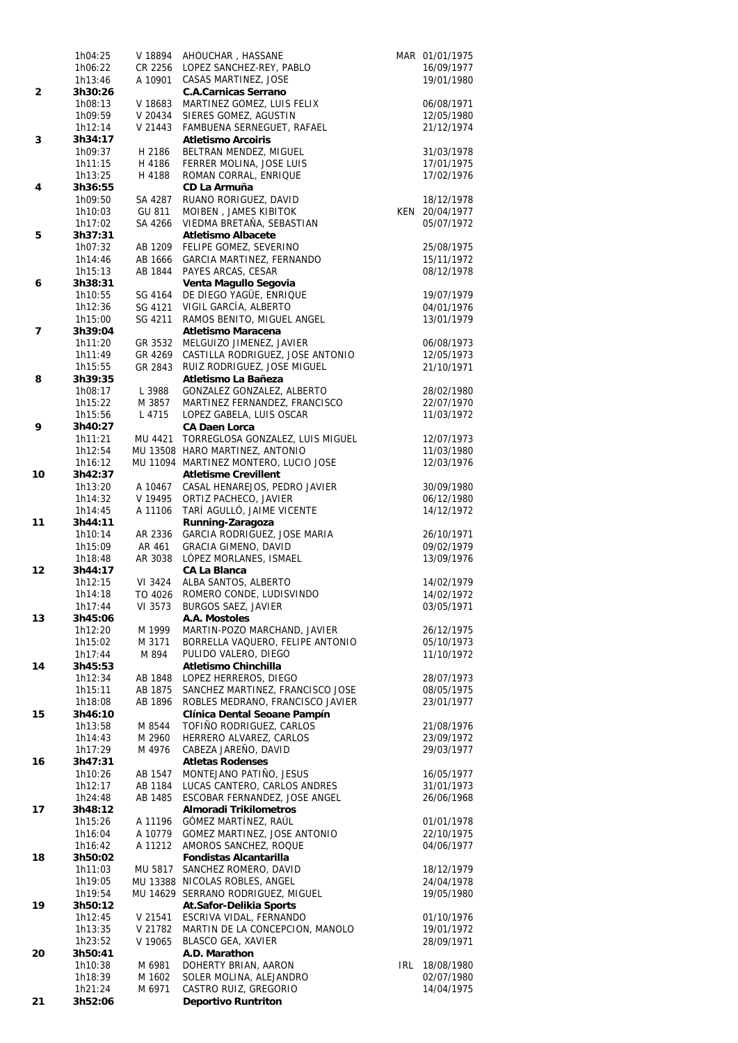|    | 1h04:25            | V 18894            | AHOUCHAR, HASSANE                                                |     | MAR 01/01/1975           |
|----|--------------------|--------------------|------------------------------------------------------------------|-----|--------------------------|
|    | 1h06:22            | CR 2256            | LOPEZ SANCHEZ-REY, PABLO                                         |     | 16/09/1977               |
| 2  | 1h13:46<br>3h30:26 | A 10901            | CASAS MARTINEZ, JOSE<br><b>C.A.Carnicas Serrano</b>              |     | 19/01/1980               |
|    | 1h08:13            | V 18683            | MARTINEZ GOMEZ, LUIS FELIX                                       |     | 06/08/1971               |
|    | 1h09:59            | V 20434            | SIERES GOMEZ, AGUSTIN                                            |     | 12/05/1980               |
|    | 1h12:14            | V 21443            | FAMBUENA SERNEGUET, RAFAEL                                       |     | 21/12/1974               |
| 3  | 3h34:17            |                    | <b>Atletismo Arcoiris</b>                                        |     |                          |
|    | 1h09:37            | H 2186             | BELTRAN MENDEZ, MIGUEL                                           |     | 31/03/1978               |
|    | 1h11:15<br>1h13:25 | H 4186<br>H 4188   | FERRER MOLINA, JOSE LUIS<br>ROMAN CORRAL, ENRIQUE                |     | 17/01/1975<br>17/02/1976 |
| 4  | 3h36:55            |                    | CD La Armuña                                                     |     |                          |
|    | 1h09:50            | SA 4287            | RUANO RORIGUEZ, DAVID                                            |     | 18/12/1978               |
|    | 1h10:03            | GU 811             | MOIBEN, JAMES KIBITOK                                            |     | KEN 20/04/1977           |
|    | 1h17:02            | SA 4266            | VIEDMA BRETAÑA, SEBASTIAN                                        |     | 05/07/1972               |
| 5  | 3h37:31            |                    | <b>Atletismo Albacete</b>                                        |     |                          |
|    | 1h07:32<br>1h14:46 | AB 1209<br>AB 1666 | FELIPE GOMEZ, SEVERINO<br>GARCIA MARTINEZ, FERNANDO              |     | 25/08/1975<br>15/11/1972 |
|    | 1h15:13            | AB 1844            | PAYES ARCAS, CESAR                                               |     | 08/12/1978               |
| 6  | 3h38:31            |                    | Venta Magullo Segovia                                            |     |                          |
|    | 1h10:55            | SG 4164            | DE DIEGO YAGÜE, ENRIQUE                                          |     | 19/07/1979               |
|    | 1h12:36            | SG 4121            | VIGIL GARCÍA, ALBERTO                                            |     | 04/01/1976               |
|    | 1h15:00            | SG 4211            | RAMOS BENITO, MIGUEL ANGEL                                       |     | 13/01/1979               |
| 7  | 3h39:04<br>1h11:20 | GR 3532            | <b>Atletismo Maracena</b><br>MELGUIZO JIMENEZ, JAVIER            |     | 06/08/1973               |
|    | 1h11:49            | GR 4269            | CASTILLA RODRIGUEZ, JOSE ANTONIO                                 |     | 12/05/1973               |
|    | 1h15:55            | GR 2843            | RUIZ RODRIGUEZ, JOSE MIGUEL                                      |     | 21/10/1971               |
| 8  | 3h39:35            |                    | Atletismo La Bañeza                                              |     |                          |
|    | 1h08:17            | L 3988             | GONZALEZ GONZALEZ, ALBERTO                                       |     | 28/02/1980               |
|    | 1h15:22            | M 3857             | MARTINEZ FERNANDEZ, FRANCISCO                                    |     | 22/07/1970               |
| 9  | 1h15:56<br>3h40:27 | L 4715             | LOPEZ GABELA, LUIS OSCAR<br><b>CA Daen Lorca</b>                 |     | 11/03/1972               |
|    | 1h11:21            | MU 4421            | TORREGLOSA GONZALEZ, LUIS MIGUEL                                 |     | 12/07/1973               |
|    | 1h12:54            |                    | MU 13508 HARO MARTINEZ, ANTONIO                                  |     | 11/03/1980               |
|    | 1h16:12            |                    | MU 11094 MARTINEZ MONTERO, LUCIO JOSE                            |     | 12/03/1976               |
| 10 | 3h42:37            |                    | <b>Atletisme Crevillent</b>                                      |     |                          |
|    | 1h13:20            | A 10467<br>V 19495 | CASAL HENAREJOS, PEDRO JAVIER<br>ORTIZ PACHECO, JAVIER           |     | 30/09/1980               |
|    | 1h14:32<br>1h14:45 | A 11106            | TARÍ AGULLÓ, JAIME VICENTE                                       |     | 06/12/1980<br>14/12/1972 |
| 11 | 3h44:11            |                    | Running-Zaragoza                                                 |     |                          |
|    | 1h10:14            | AR 2336            | GARCIA RODRIGUEZ, JOSE MARIA                                     |     | 26/10/1971               |
|    | 1h15:09            | AR 461             | <b>GRACIA GIMENO, DAVID</b>                                      |     | 09/02/1979               |
| 12 | 1h18:48<br>3h44:17 | AR 3038            | LÓPEZ MORLANES, ISMAEL<br><b>CA La Blanca</b>                    |     | 13/09/1976               |
|    | 1h12:15            | VI 3424            | ALBA SANTOS, ALBERTO                                             |     | 14/02/1979               |
|    | 1h14:18            | TO 4026            | ROMERO CONDE, LUDISVINDO                                         |     | 14/02/1972               |
|    | 1h17:44            |                    | VI 3573 BURGOS SAEZ, JAVIER                                      |     | 03/05/1971               |
| 13 | 3h45:06<br>1h12:20 | M 1999             | A.A. Mostoles<br>MARTIN-POZO MARCHAND, JAVIER                    |     | 26/12/1975               |
|    | 1h15:02            | M 3171             | BORRELLA VAQUERO, FELIPE ANTONIO                                 |     | 05/10/1973               |
|    | 1h17:44            | M 894              | PULIDO VALERO, DIEGO                                             |     | 11/10/1972               |
| 14 | 3h45:53            |                    | Atletismo Chinchilla                                             |     |                          |
|    | 1h12:34            | AB 1848            | LOPEZ HERREROS, DIEGO                                            |     | 28/07/1973               |
|    | 1h15:11            | AB 1875            | SANCHEZ MARTINEZ, FRANCISCO JOSE                                 |     | 08/05/1975               |
| 15 | 1h18:08<br>3h46:10 | AB 1896            | ROBLES MEDRANO, FRANCISCO JAVIER<br>Clínica Dental Seoane Pampín |     | 23/01/1977               |
|    | 1h13:58            | M 8544             | TOFIÑO RODRIGUEZ, CARLOS                                         |     | 21/08/1976               |
|    | 1h14:43            | M 2960             | HERRERO ALVAREZ, CARLOS                                          |     | 23/09/1972               |
|    | 1h17:29            | M 4976             | CABEZA JAREÑO, DAVID                                             |     | 29/03/1977               |
| 16 | 3h47:31            |                    | <b>Atletas Rodenses</b>                                          |     |                          |
|    | 1h10:26            | AB 1547<br>AB 1184 | MONTEJANO PATIÑO, JESUS<br>LUCAS CANTERO, CARLOS ANDRES          |     | 16/05/1977<br>31/01/1973 |
|    | 1h12:17<br>1h24:48 | AB 1485            | ESCOBAR FERNANDEZ, JOSE ANGEL                                    |     | 26/06/1968               |
| 17 | 3h48:12            |                    | <b>Almoradi Trikilometros</b>                                    |     |                          |
|    | 1h15:26            | A 11196            | GÓMEZ MARTÍNEZ, RAÚL                                             |     | 01/01/1978               |
|    | 1h16:04            | A 10779            | GOMEZ MARTINEZ, JOSE ANTONIO                                     |     | 22/10/1975               |
|    | 1h16:42            | A 11212            | AMOROS SANCHEZ, ROQUE<br><b>Fondistas Alcantarilla</b>           |     | 04/06/1977               |
| 18 | 3h50:02<br>1h11:03 | MU 5817            | SANCHEZ ROMERO, DAVID                                            |     | 18/12/1979               |
|    | 1h19:05            |                    | MU 13388 NICOLAS ROBLES, ANGEL                                   |     | 24/04/1978               |
|    | 1h19:54            |                    | MU 14629 SERRANO RODRIGUEZ, MIGUEL                               |     | 19/05/1980               |
| 19 | 3h50:12            |                    | <b>At.Safor-Delikia Sports</b>                                   |     |                          |
|    | 1h12:45            | V 21541            | ESCRIVA VIDAL, FERNANDO                                          |     | 01/10/1976               |
|    | 1h13:35<br>1h23:52 | V 21782<br>V 19065 | MARTIN DE LA CONCEPCION, MANOLO<br>BLASCO GEA, XAVIER            |     | 19/01/1972<br>28/09/1971 |
| 20 | 3h50:41            |                    | A.D. Marathon                                                    |     |                          |
|    | 1h10:38            | M 6981             | DOHERTY BRIAN, AARON                                             | IRL | 18/08/1980               |
|    | 1h18:39            | M 1602             | SOLER MOLINA, ALEJANDRO                                          |     | 02/07/1980               |
|    | 1h21:24            | M 6971             | CASTRO RUIZ, GREGORIO                                            |     | 14/04/1975               |
| 21 | 3h52:06            |                    | <b>Deportivo Runtriton</b>                                       |     |                          |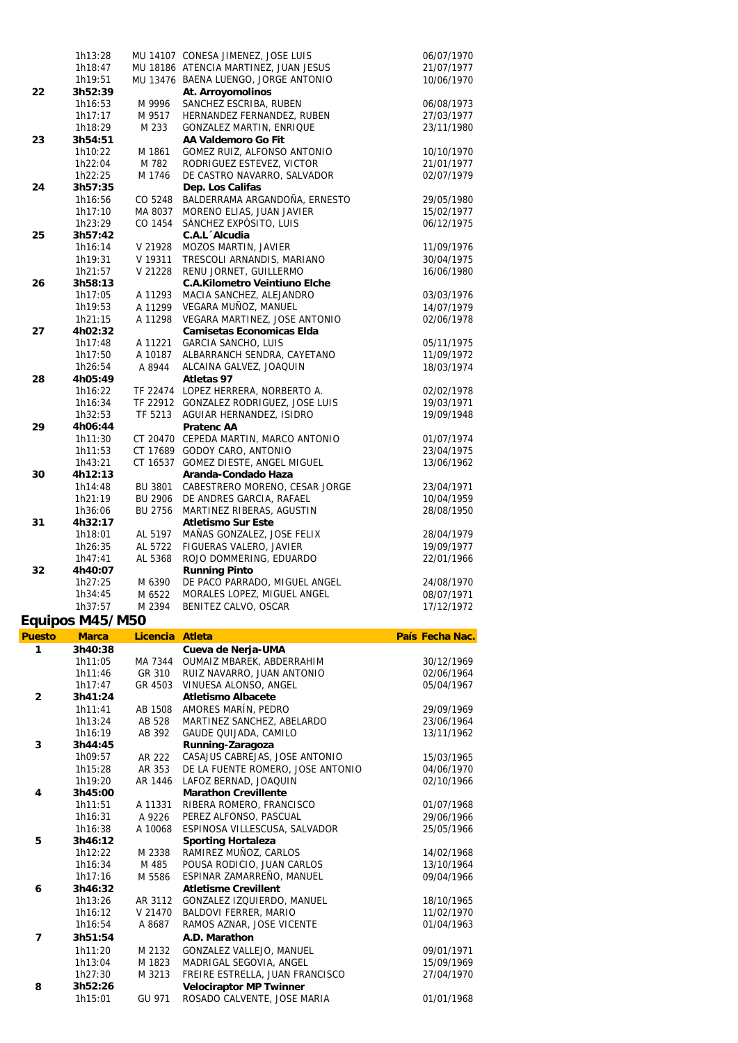|    | 1h13:28            |                | MU 14107 CONESA JIMENEZ, JOSE LUIS                                         | 06/07/1970               |
|----|--------------------|----------------|----------------------------------------------------------------------------|--------------------------|
|    | 1h18:47            |                | MU 18186 ATENCIA MARTINEZ, JUAN JESUS                                      | 21/07/1977               |
|    | 1h19:51            |                | MU 13476 BAENA LUENGO, JORGE ANTONIO                                       | 10/06/1970               |
| 22 | 3h52:39            |                | At. Arroyomolinos                                                          |                          |
|    | 1h16:53            | M 9996         | SANCHEZ ESCRIBA, RUBEN                                                     | 06/08/1973               |
|    | 1h17:17            | M 9517         | HERNANDEZ FERNANDEZ, RUBEN                                                 | 27/03/1977               |
|    | 1h18:29            | M 233          | <b>GONZALEZ MARTIN, ENRIQUE</b>                                            | 23/11/1980               |
| 23 | 3h54:51            |                | AA Valdemoro Go Fit                                                        |                          |
|    | 1h10:22            | M 1861         | GOMEZ RUIZ, ALFONSO ANTONIO                                                | 10/10/1970               |
|    | 1h22:04            | M 782          | RODRIGUEZ ESTEVEZ, VICTOR                                                  | 21/01/1977               |
|    | 1h22:25            | M 1746         | DE CASTRO NAVARRO, SALVADOR                                                | 02/07/1979               |
| 24 | 3h57:35            |                | Dep. Los Califas                                                           |                          |
|    | 1h16:56            | CO 5248        | BALDERRAMA ARGANDOÑA, ERNESTO                                              | 29/05/1980               |
|    | 1h17:10            | MA 8037        | MORENO ELIAS, JUAN JAVIER                                                  | 15/02/1977               |
|    | 1h23:29            | CO 1454        | SÁNCHEZ EXPÓSITO, LUIS                                                     | 06/12/1975               |
| 25 | 3h57:42            |                | C.A.L Alcudia                                                              |                          |
|    | 1h16:14            | V 21928        | MOZOS MARTIN, JAVIER                                                       | 11/09/1976               |
|    | 1h19:31            | V 19311        | TRESCOLI ARNANDIS, MARIANO                                                 | 30/04/1975               |
|    | 1h21:57            | V 21228        | RENU JORNET, GUILLERMO                                                     | 16/06/1980               |
| 26 | 3h58:13            |                | <b>C.A.Kilometro Veintiuno Elche</b>                                       |                          |
|    | 1h17:05            | A 11293        | MACIA SANCHEZ, ALEJANDRO                                                   | 03/03/1976               |
|    | 1h19:53            | A 11299        | VEGARA MUÑOZ, MANUEL                                                       | 14/07/1979               |
|    | 1h21:15            | A 11298        | VEGARA MARTINEZ, JOSE ANTONIO                                              | 02/06/1978               |
| 27 | 4h02:32            |                | <b>Camisetas Economicas Elda</b>                                           |                          |
|    | 1h17:48            | A 11221        | <b>GARCIA SANCHO, LUIS</b>                                                 | 05/11/1975               |
|    | 1h17:50            | A 10187        | ALBARRANCH SENDRA, CAYETANO                                                | 11/09/1972               |
|    | 1h26:54            | A 8944         | ALCAINA GALVEZ, JOAQUIN                                                    | 18/03/1974               |
| 28 | 4h05:49            |                | Atletas 97                                                                 |                          |
|    | 1h16:22            |                | TF 22474 LOPEZ HERRERA, NORBERTO A.                                        | 02/02/1978               |
|    | 1h16:34            |                | TF 22912 GONZALEZ RODRIGUEZ, JOSE LUIS<br>TF 5213 AGUIAR HERNANDEZ, ISIDRO | 19/03/1971<br>19/09/1948 |
|    | 1h32:53            |                | <b>Pratenc AA</b>                                                          |                          |
| 29 | 4h06:44<br>1h11:30 |                | CT 20470 CEPEDA MARTIN, MARCO ANTONIO                                      | 01/07/1974               |
|    | 1h11:53            |                | CT 17689 GODOY CARO, ANTONIO                                               | 23/04/1975               |
|    | 1h43:21            |                | CT 16537 GOMEZ DIESTE, ANGEL MIGUEL                                        | 13/06/1962               |
| 30 | 4h12:13            |                | Aranda-Condado Haza                                                        |                          |
|    | 1h14:48            | BU 3801        | CABESTRERO MORENO, CESAR JORGE                                             | 23/04/1971               |
|    | 1h21:19            | BU 2906        | DE ANDRES GARCIA, RAFAEL                                                   | 10/04/1959               |
|    | 1h36:06            | <b>BU 2756</b> | MARTINEZ RIBERAS, AGUSTIN                                                  | 28/08/1950               |
| 31 | 4h32:17            |                | <b>Atletismo Sur Este</b>                                                  |                          |
|    | 1h18:01            | AL 5197        | MAÑAS GONZALEZ, JOSE FELIX                                                 | 28/04/1979               |
|    | 1h26:35            | AL 5722        | FIGUERAS VALERO, JAVIER                                                    | 19/09/1977               |
|    | 1h47:41            | AL 5368        | ROJO DOMMERING, EDUARDO                                                    | 22/01/1966               |
| 32 | 4h40:07            |                | <b>Running Pinto</b>                                                       |                          |
|    | 1h27:25            | M 6390         | DE PACO PARRADO, MIGUEL ANGEL                                              | 24/08/1970               |
|    | 1h34:45            | M 6522         | MORALES LOPEZ, MIGUEL ANGEL                                                | 08/07/1971               |
|    | 1h37:57            | M 2394         | BENITEZ CALVO, OSCAR                                                       | 17/12/1972               |
|    |                    |                |                                                                            |                          |

## **Equipos M45/M50**

| <b>Puesto</b>  | <b>Marca</b> | Licencia | <b>Atleta</b>                     | País Fecha Nac. |
|----------------|--------------|----------|-----------------------------------|-----------------|
| $\mathbf{1}$   | 3h40:38      |          | Cueva de Nerja-UMA                |                 |
|                | 1h11:05      | MA 7344  | OUMAIZ MBAREK, ABDERRAHIM         | 30/12/1969      |
|                | 1h11:46      | GR 310   | RUIZ NAVARRO, JUAN ANTONIO        | 02/06/1964      |
|                | 1h17:47      | GR 4503  | VINUESA ALONSO, ANGEL             | 05/04/1967      |
| $\overline{2}$ | 3h41:24      |          | <b>Atletismo Albacete</b>         |                 |
|                | 1h11:41      | AB 1508  | AMORES MARÍN, PEDRO               | 29/09/1969      |
|                | 1h13:24      | AB 528   | MARTINEZ SANCHEZ, ABELARDO        | 23/06/1964      |
|                | 1h16:19      | AB 392   | GAUDE QUIJADA, CAMILO             | 13/11/1962      |
| 3              | 3h44:45      |          | Running-Zaragoza                  |                 |
|                | 1h09:57      | AR 222   | CASAJUS CABREJAS, JOSE ANTONIO    | 15/03/1965      |
|                | 1h15:28      | AR 353   | DE LA FUENTE ROMERO, JOSE ANTONIO | 04/06/1970      |
|                | 1h19:20      | AR 1446  | LAFOZ BERNAD, JOAQUIN             | 02/10/1966      |
| 4              | 3h45:00      |          | <b>Marathon Crevillente</b>       |                 |
|                | 1h11:51      | A 11331  | RIBERA ROMERO, FRANCISCO          | 01/07/1968      |
|                | 1h16:31      | A 9226   | PEREZ ALFONSO, PASCUAL            | 29/06/1966      |
|                | 1h16:38      | A 10068  | ESPINOSA VILLESCUSA, SALVADOR     | 25/05/1966      |
| 5              | 3h46:12      |          | <b>Sporting Hortaleza</b>         |                 |
|                | 1h12:22      | M 2338   | RAMIREZ MUÑOZ, CARLOS             | 14/02/1968      |
|                | 1h16:34      | M 485    | POUSA RODICIO, JUAN CARLOS        | 13/10/1964      |
|                | 1h17:16      | M 5586   | ESPINAR ZAMARREÑO, MANUEL         | 09/04/1966      |
| 6              | 3h46:32      |          | <b>Atletisme Crevillent</b>       |                 |
|                | 1h13:26      | AR 3112  | GONZALEZ IZQUIERDO, MANUEL        | 18/10/1965      |
|                | 1h16:12      | V 21470  | <b>BALDOVI FERRER, MARIO</b>      | 11/02/1970      |
|                | 1h16:54      | A 8687   | RAMOS AZNAR, JOSE VICENTE         | 01/04/1963      |
| 7              | 3h51:54      |          | A.D. Marathon                     |                 |
|                | 1h11:20      | M 2132   | GONZALEZ VALLEJO, MANUEL          | 09/01/1971      |
|                | 1h13:04      | M 1823   | MADRIGAL SEGOVIA, ANGEL           | 15/09/1969      |
|                | 1h27:30      | M 3213   | FREIRE ESTRELLA, JUAN FRANCISCO   | 27/04/1970      |
| 8              | 3h52:26      |          | <b>Velociraptor MP Twinner</b>    |                 |
|                | 1h15:01      | GU 971   | ROSADO CALVENTE, JOSE MARIA       | 01/01/1968      |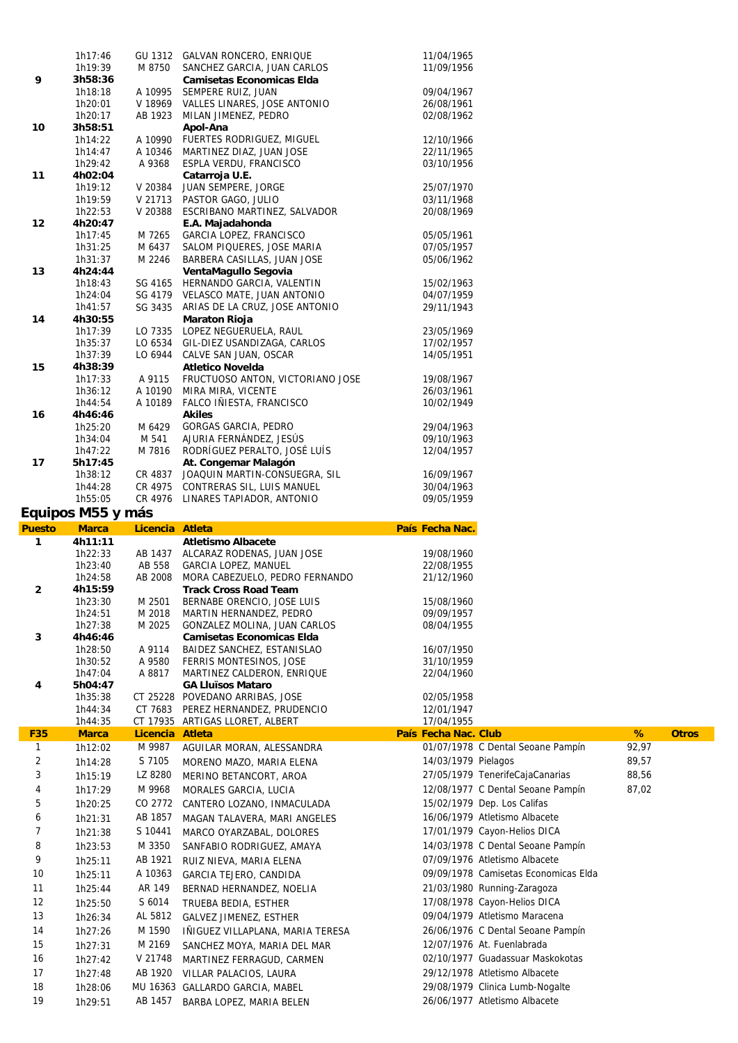|                | 1h19:39            | M 8750           | SANCHEZ GARCIA, JUAN CARLOS                                    | 11/09/1956               |                                      |       |              |
|----------------|--------------------|------------------|----------------------------------------------------------------|--------------------------|--------------------------------------|-------|--------------|
| 9              | 3h58:36            |                  | <b>Camisetas Economicas Elda</b>                               |                          |                                      |       |              |
|                | 1h18:18            | A 10995          | SEMPERE RUIZ, JUAN                                             | 09/04/1967               |                                      |       |              |
|                | 1h20:01            | V 18969          | VALLES LINARES, JOSE ANTONIO                                   | 26/08/1961               |                                      |       |              |
|                | 1h20:17            | AB 1923          | MILAN JIMENEZ, PEDRO                                           | 02/08/1962               |                                      |       |              |
| 10             | 3h58:51            |                  | Apol-Ana                                                       |                          |                                      |       |              |
|                | 1h14:22            | A 10990          | FUERTES RODRIGUEZ, MIGUEL                                      | 12/10/1966               |                                      |       |              |
|                | 1h14:47            | A 10346          | MARTINEZ DIAZ, JUAN JOSE                                       | 22/11/1965               |                                      |       |              |
|                | 1h29:42            | A 9368           | ESPLA VERDU, FRANCISCO                                         | 03/10/1956               |                                      |       |              |
| 11             | 4h02:04            |                  | Catarroja U.E.                                                 |                          |                                      |       |              |
|                | 1h19:12            | V 20384          | JUAN SEMPERE, JORGE                                            | 25/07/1970               |                                      |       |              |
|                | 1h19:59            | V 21713          | PASTOR GAGO, JULIO                                             | 03/11/1968               |                                      |       |              |
|                | 1h22:53            | V 20388          | ESCRIBANO MARTINEZ, SALVADOR                                   | 20/08/1969               |                                      |       |              |
| 12             | 4h20:47            |                  | E.A. Majadahonda                                               |                          |                                      |       |              |
|                | 1h17:45<br>1h31:25 | M 7265<br>M 6437 | GARCIA LOPEZ, FRANCISCO<br>SALOM PIQUERES, JOSE MARIA          | 05/05/1961<br>07/05/1957 |                                      |       |              |
|                | 1h31:37            | M 2246           | BARBERA CASILLAS, JUAN JOSE                                    | 05/06/1962               |                                      |       |              |
| 13             | 4h24:44            |                  | VentaMagullo Segovia                                           |                          |                                      |       |              |
|                | 1h18:43            | SG 4165          | HERNANDO GARCIA, VALENTIN                                      | 15/02/1963               |                                      |       |              |
|                | 1h24:04            | SG 4179          | VELASCO MATE, JUAN ANTONIO                                     | 04/07/1959               |                                      |       |              |
|                | 1h41:57            |                  | SG 3435 ARIAS DE LA CRUZ, JOSE ANTONIO                         | 29/11/1943               |                                      |       |              |
| 14             | 4h30:55            |                  | <b>Maraton Rioja</b>                                           |                          |                                      |       |              |
|                | 1h17:39            | LO 7335          | LOPEZ NEGUERUELA, RAUL                                         | 23/05/1969               |                                      |       |              |
|                | 1h35:37            | LO 6534          | GIL-DIEZ USANDIZAGA, CARLOS                                    | 17/02/1957               |                                      |       |              |
|                | 1h37:39            | LO 6944          | CALVE SAN JUAN, OSCAR                                          | 14/05/1951               |                                      |       |              |
| 15             | 4h38:39            |                  | <b>Atletico Novelda</b>                                        |                          |                                      |       |              |
|                | 1h17:33            | A 9115           | FRUCTUOSO ANTON, VICTORIANO JOSE                               | 19/08/1967               |                                      |       |              |
|                | 1h36:12            | A 10190          | MIRA MIRA, VICENTE                                             | 26/03/1961               |                                      |       |              |
|                | 1h44:54            | A 10189          | FALCO INIESTA, FRANCISCO                                       | 10/02/1949               |                                      |       |              |
| 16             | 4h46:46            |                  | <b>Akiles</b>                                                  |                          |                                      |       |              |
|                | 1h25:20            | M 6429           | GORGAS GARCIA, PEDRO                                           | 29/04/1963               |                                      |       |              |
|                | 1h34:04            | M 541            | AJURIA FERNÁNDEZ, JESÚS                                        | 09/10/1963               |                                      |       |              |
|                | 1h47:22            | M 7816           | RODRÍGUEZ PERALTO, JOSÉ LUÍS                                   | 12/04/1957               |                                      |       |              |
| 17             | 5h17:45            |                  | At. Congemar Malagón                                           |                          |                                      |       |              |
|                | 1h38:12            | CR 4837          | JOAQUIN MARTIN-CONSUEGRA, SIL                                  | 16/09/1967               |                                      |       |              |
|                | 1h44:28            | CR 4975          | CONTRERAS SIL, LUIS MANUEL                                     | 30/04/1963               |                                      |       |              |
|                | 1h55:05            | CR 4976          | LINARES TAPIADOR, ANTONIO                                      | 09/05/1959               |                                      |       |              |
|                | Equipos M55 y más  |                  |                                                                |                          |                                      |       |              |
|                |                    |                  |                                                                |                          |                                      |       |              |
|                |                    |                  |                                                                |                          |                                      |       |              |
| <b>Puesto</b>  | <b>Marca</b>       | Licencia Atleta  |                                                                | País Fecha Nac.          |                                      |       |              |
| 1              | 4h11:11            |                  | <b>Atletismo Albacete</b>                                      |                          |                                      |       |              |
|                | 1h22:33            | AB 1437          | ALCARAZ RODENAS, JUAN JOSE                                     | 19/08/1960               |                                      |       |              |
|                | 1h23:40            | AB 558           | GARCIA LOPEZ, MANUEL                                           | 22/08/1955               |                                      |       |              |
| $\overline{2}$ | 1h24:58<br>4h15:59 | AB 2008          | MORA CABEZUELO, PEDRO FERNANDO<br><b>Track Cross Road Team</b> | 21/12/1960               |                                      |       |              |
|                | 1h23:30            | M 2501           | BERNABE ORENCIO, JOSE LUIS                                     | 15/08/1960               |                                      |       |              |
|                | 1h24:51            | M 2018           | MARTIN HERNANDEZ, PEDRO                                        | 09/09/1957               |                                      |       |              |
|                | 1h27:38            | M 2025           | GONZALEZ MOLINA, JUAN CARLOS                                   | 08/04/1955               |                                      |       |              |
| 3              | 4h46:46            |                  | <b>Camisetas Economicas Elda</b>                               |                          |                                      |       |              |
|                | 1h28:50            | A 9114           | BAIDEZ SANCHEZ, ESTANISLAO                                     | 16/07/1950               |                                      |       |              |
|                | 1h30:52            | A 9580           | FERRIS MONTESINOS, JOSE                                        | 31/10/1959               |                                      |       |              |
|                | 1h47:04            | A 8817           | MARTINEZ CALDERON, ENRIQUE                                     | 22/04/1960               |                                      |       |              |
| 4              | 5h04:47            |                  | <b>GA Lluïsos Mataro</b>                                       |                          |                                      |       |              |
|                | 1h35:38            |                  | CT 25228 POVEDANO ARRIBAS, JOSE                                | 02/05/1958               |                                      |       |              |
|                | 1h44:34            | CT 7683          | PEREZ HERNANDEZ, PRUDENCIO                                     | 12/01/1947               |                                      |       |              |
|                | 1h44:35            |                  | CT 17935 ARTIGAS LLORET, ALBERT                                | 17/04/1955               |                                      |       |              |
| <b>F35</b>     | <b>Marca</b>       | Licencia Atleta  |                                                                | País Fecha Nac. Club     |                                      | %     | <b>Otros</b> |
| $\mathbf{1}$   | 1h12:02            | M 9987           | AGUILAR MORAN, ALESSANDRA                                      |                          | 01/07/1978 C Dental Seoane Pampín    | 92,97 |              |
| $\overline{2}$ | 1h14:28            | S 7105           | MORENO MAZO, MARIA ELENA                                       | 14/03/1979 Pielagos      |                                      | 89,57 |              |
| 3              | 1h15:19            | LZ 8280          | MERINO BETANCORT, AROA                                         |                          | 27/05/1979 TenerifeCajaCanarias      | 88,56 |              |
| 4              | 1h17:29            | M 9968           |                                                                |                          |                                      | 87,02 |              |
|                |                    |                  | MORALES GARCIA, LUCIA                                          |                          | 12/08/1977 C Dental Seoane Pampín    |       |              |
| 5              | 1h20:25            | CO 2772          | CANTERO LOZANO, INMACULADA                                     |                          | 15/02/1979 Dep. Los Califas          |       |              |
| 6              | 1h21:31            | AB 1857          | MAGAN TALAVERA, MARI ANGELES                                   |                          | 16/06/1979 Atletismo Albacete        |       |              |
| $\overline{7}$ | 1h21:38            | S 10441          | MARCO OYARZABAL, DOLORES                                       |                          | 17/01/1979 Cayon-Helios DICA         |       |              |
| 8              | 1h23:53            | M 3350           | SANFABIO RODRIGUEZ, AMAYA                                      |                          | 14/03/1978 C Dental Seoane Pampín    |       |              |
| 9              | 1h25:11            | AB 1921          | RUIZ NIEVA, MARIA ELENA                                        |                          | 07/09/1976 Atletismo Albacete        |       |              |
| 10             | 1h25:11            | A 10363          | GARCIA TEJERO, CANDIDA                                         |                          | 09/09/1978 Camisetas Economicas Elda |       |              |
| 11             | 1h25:44            | AR 149           |                                                                |                          | 21/03/1980 Running-Zaragoza          |       |              |
|                |                    |                  | BERNAD HERNANDEZ, NOELIA                                       |                          |                                      |       |              |
| 12             | 1h25:50            | S 6014           | TRUEBA BEDIA, ESTHER                                           |                          | 17/08/1978 Cayon-Helios DICA         |       |              |
| 13             | 1h26:34            | AL 5812          | GALVEZ JIMENEZ, ESTHER                                         |                          | 09/04/1979 Atletismo Maracena        |       |              |
| 14             | 1h27:26            | M 1590           | INIGUEZ VILLAPLANA, MARIA TERESA                               |                          | 26/06/1976 C Dental Seoane Pampín    |       |              |
| 15             | 1h27:31            | M 2169           | SANCHEZ MOYA, MARIA DEL MAR                                    |                          | 12/07/1976 At. Fuenlabrada           |       |              |
| 16             | 1h27:42            | V 21748          | MARTINEZ FERRAGUD, CARMEN                                      |                          | 02/10/1977 Guadassuar Maskokotas     |       |              |
| 17             | 1h27:48            | AB 1920          | VILLAR PALACIOS, LAURA                                         |                          | 29/12/1978 Atletismo Albacete        |       |              |
| 18             | 1h28:06            |                  |                                                                |                          | 29/08/1979 Clinica Lumb-Nogalte      |       |              |
| 19             | 1h29:51            | AB 1457          | MU 16363 GALLARDO GARCIA, MABEL<br>BARBA LOPEZ, MARIA BELEN    |                          | 26/06/1977 Atletismo Albacete        |       |              |

1h17:46 GU 1312 GALVAN RONCERO, ENRIQUE 11/04/1965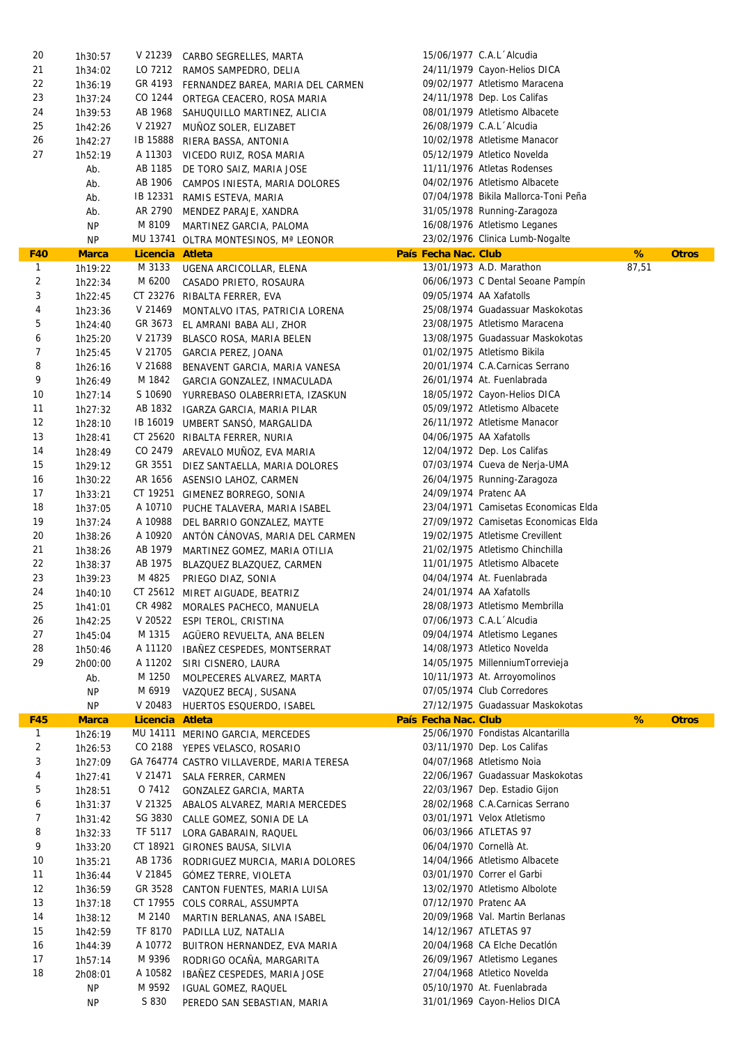| 20           | 1h30:57      | V 21239         | CARBO SEGRELLES, MARTA                    |                      | 15/06/1977 C.A.L Alcudia             |       |              |
|--------------|--------------|-----------------|-------------------------------------------|----------------------|--------------------------------------|-------|--------------|
| 21           | 1h34:02      |                 | LO 7212 RAMOS SAMPEDRO, DELIA             |                      | 24/11/1979 Cayon-Helios DICA         |       |              |
| 22           | 1h36:19      |                 | GR 4193 FERNANDEZ BAREA, MARIA DEL CARMEN |                      | 09/02/1977 Atletismo Maracena        |       |              |
| 23           | 1h37:24      | CO 1244         | ORTEGA CEACERO, ROSA MARIA                |                      | 24/11/1978 Dep. Los Califas          |       |              |
| 24           | 1h39:53      | AB 1968         | SAHUQUILLO MARTINEZ, ALICIA               |                      | 08/01/1979 Atletismo Albacete        |       |              |
| 25           | 1h42:26      | V 21927         | MUNOZ SOLER, ELIZABET                     |                      | 26/08/1979 C.A.L Alcudia             |       |              |
| 26           | 1h42:27      |                 | IB 15888 RIERA BASSA, ANTONIA             |                      | 10/02/1978 Atletisme Manacor         |       |              |
| 27           | 1h52:19      |                 | A 11303 VICEDO RUIZ, ROSA MARIA           |                      | 05/12/1979 Atletico Novelda          |       |              |
|              | Ab.          | AB 1185         | DE TORO SAIZ, MARIA JOSE                  |                      | 11/11/1976 Atletas Rodenses          |       |              |
|              | Ab.          | AB 1906         | CAMPOS INIESTA, MARIA DOLORES             |                      | 04/02/1976 Atletismo Albacete        |       |              |
|              | Ab.          | IB 12331        | RAMIS ESTEVA, MARIA                       |                      | 07/04/1978 Bikila Mallorca-Toni Peña |       |              |
|              | Ab.          | AR 2790         | MENDEZ PARAJE, XANDRA                     |                      | 31/05/1978 Running-Zaragoza          |       |              |
|              | NP           | M 8109          | MARTINEZ GARCIA, PALOMA                   |                      | 16/08/1976 Atletismo Leganes         |       |              |
|              | NP           |                 | MU 13741 OLTRA MONTESINOS, Mª LEONOR      |                      | 23/02/1976 Clinica Lumb-Nogalte      |       |              |
| <b>F40</b>   | <b>Marca</b> | Licencia Atleta |                                           | País Fecha Nac. Club |                                      | %     | <b>Otros</b> |
| $\mathbf{1}$ | 1h19:22      | M 3133          | UGENA ARCICOLLAR, ELENA                   |                      | 13/01/1973 A.D. Marathon             | 87,51 |              |
| 2            | 1h22:34      | M 6200          | CASADO PRIETO, ROSAURA                    |                      | 06/06/1973 C Dental Seoane Pampín    |       |              |
| 3            | 1h22:45      |                 | CT 23276 RIBALTA FERRER, EVA              |                      | 09/05/1974 AA Xafatolls              |       |              |
| 4            | 1h23:36      | V 21469         | MONTALVO ITAS, PATRICIA LORENA            |                      | 25/08/1974 Guadassuar Maskokotas     |       |              |
| 5            | 1h24:40      | GR 3673         | EL AMRANI BABA ALI, ZHOR                  |                      | 23/08/1975 Atletismo Maracena        |       |              |
| 6            | 1h25:20      | V 21739         | BLASCO ROSA, MARIA BELEN                  |                      | 13/08/1975 Guadassuar Maskokotas     |       |              |
| 7            | 1h25:45      | V 21705         | GARCIA PEREZ, JOANA                       |                      | 01/02/1975 Atletismo Bikila          |       |              |
| 8            | 1h26:16      | V 21688         | BENAVENT GARCIA, MARIA VANESA             |                      | 20/01/1974 C.A.Carnicas Serrano      |       |              |
| 9            | 1h26:49      | M 1842          |                                           |                      | 26/01/1974 At. Fuenlabrada           |       |              |
| 10           |              | S 10690         | GARCIA GONZALEZ, INMACULADA               |                      | 18/05/1972 Cayon-Helios DICA         |       |              |
| 11           | 1h27:14      |                 | YURREBASO OLABERRIETA, IZASKUN            |                      | 05/09/1972 Atletismo Albacete        |       |              |
| 12           | 1h27:32      | AB 1832         | IGARZA GARCIA, MARIA PILAR                |                      |                                      |       |              |
|              | 1h28:10      |                 | IB 16019 UMBERT SANSÓ, MARGALIDA          |                      | 26/11/1972 Atletisme Manacor         |       |              |
| 13           | 1h28:41      |                 | CT 25620 RIBALTA FERRER, NURIA            |                      | 04/06/1975 AA Xafatolls              |       |              |
| 14           | 1h28:49      |                 | CO 2479 AREVALO MUÑOZ, EVA MARIA          |                      | 12/04/1972 Dep. Los Califas          |       |              |
| 15           | 1h29:12      | GR 3551         | DIEZ SANTAELLA, MARIA DOLORES             |                      | 07/03/1974 Cueva de Nerja-UMA        |       |              |
| 16           | 1h30:22      | AR 1656         | ASENSIO LAHOZ, CARMEN                     |                      | 26/04/1975 Running-Zaragoza          |       |              |
| 17           | 1h33:21      |                 | CT 19251 GIMENEZ BORREGO, SONIA           |                      | 24/09/1974 Pratenc AA                |       |              |
| 18           | 1h37:05      | A 10710         | PUCHE TALAVERA, MARIA ISABEL              |                      | 23/04/1971 Camisetas Economicas Elda |       |              |
| 19           | 1h37:24      | A 10988         | DEL BARRIO GONZALEZ, MAYTE                |                      | 27/09/1972 Camisetas Economicas Elda |       |              |
| 20           | 1h38:26      | A 10920         | ANTÓN CÁNOVAS, MARIA DEL CARMEN           |                      | 19/02/1975 Atletisme Crevillent      |       |              |
| 21           | 1h38:26      | AB 1979         | MARTINEZ GOMEZ, MARIA OTILIA              |                      | 21/02/1975 Atletismo Chinchilla      |       |              |
| 22           | 1h38:37      | AB 1975         | BLAZQUEZ BLAZQUEZ, CARMEN                 |                      | 11/01/1975 Atletismo Albacete        |       |              |
| 23           | 1h39:23      | M 4825          | PRIEGO DIAZ, SONIA                        |                      | 04/04/1974 At. Fuenlabrada           |       |              |
| 24           | 1h40:10      |                 | CT 25612 MIRET AIGUADE, BEATRIZ           |                      | 24/01/1974 AA Xafatolls              |       |              |
| 25           | 1h41:01      |                 | CR 4982 MORALES PACHECO, MANUELA          |                      | 28/08/1973 Atletismo Membrilla       |       |              |
| 26           | 1h42:25      |                 | V 20522 ESPI TEROL, CRISTINA              |                      | 07/06/1973 C.A.L Alcudia             |       |              |
| 27           | 1h45:04      | M 1315          | AGÜERO REVUELTA, ANA BELEN                |                      | 09/04/1974 Atletismo Leganes         |       |              |
| 28           | 1h50:46      | A 11120         | IBAÑEZ CESPEDES, MONTSERRAT               |                      | 14/08/1973 Atletico Novelda          |       |              |
| 29           | 2h00:00      | A 11202         | SIRI CISNERO, LAURA                       |                      | 14/05/1975 MillenniumTorrevieja      |       |              |
|              | Ab.          | M 1250          | MOLPECERES ALVAREZ, MARTA                 |                      | 10/11/1973 At. Arroyomolinos         |       |              |
|              | <b>NP</b>    | M 6919          | VAZQUEZ BECAJ, SUSANA                     |                      | 07/05/1974 Club Corredores           |       |              |
|              | ΝP           | V 20483         | HUERTOS ESQUERDO, ISABEL                  |                      | 27/12/1975 Guadassuar Maskokotas     |       |              |
| <b>F45</b>   | <b>Marca</b> | Licencia Atleta |                                           | País Fecha Nac. Club |                                      | %     | <b>Otros</b> |
| $\mathbf{1}$ | 1h26:19      |                 | MU 14111 MERINO GARCIA, MERCEDES          |                      | 25/06/1970 Fondistas Alcantarilla    |       |              |
| 2            | 1h26:53      |                 | CO 2188 YEPES VELASCO, ROSARIO            |                      | 03/11/1970 Dep. Los Califas          |       |              |
| 3            | 1h27:09      |                 | GA 764774 CASTRO VILLAVERDE, MARIA TERESA |                      | 04/07/1968 Atletismo Noia            |       |              |
| 4            | 1h27:41      | V 21471         | SALA FERRER, CARMEN                       |                      | 22/06/1967 Guadassuar Maskokotas     |       |              |
| 5            | 1h28:51      | O 7412          | GONZALEZ GARCIA, MARTA                    |                      | 22/03/1967 Dep. Estadio Gijon        |       |              |
| 6            | 1h31:37      | V 21325         | ABALOS ALVAREZ, MARIA MERCEDES            |                      | 28/02/1968 C.A.Carnicas Serrano      |       |              |
| 7            | 1h31:42      | SG 3830         | CALLE GOMEZ, SONIA DE LA                  |                      | 03/01/1971 Velox Atletismo           |       |              |
| 8            | 1h32:33      | TF 5117         | LORA GABARAIN, RAQUEL                     |                      | 06/03/1966 ATLETAS 97                |       |              |
| 9            | 1h33:20      |                 | CT 18921 GIRONES BAUSA, SILVIA            |                      | 06/04/1970 Cornellà At.              |       |              |
| 10           | 1h35:21      | AB 1736         | RODRIGUEZ MURCIA, MARIA DOLORES           |                      | 14/04/1966 Atletismo Albacete        |       |              |
| 11           | 1h36:44      | V 21845         | GÓMEZ TERRE, VIOLETA                      |                      | 03/01/1970 Correr el Garbi           |       |              |
| 12           | 1h36:59      | GR 3528         | CANTON FUENTES, MARIA LUISA               |                      | 13/02/1970 Atletismo Albolote        |       |              |
| 13           | 1h37:18      | CT 17955        | COLS CORRAL, ASSUMPTA                     |                      | 07/12/1970 Pratenc AA                |       |              |
| 14           | 1h38:12      | M 2140          | MARTIN BERLANAS, ANA ISABEL               |                      | 20/09/1968 Val. Martin Berlanas      |       |              |
| 15           | 1h42:59      | TF 8170         | PADILLA LUZ, NATALIA                      |                      | 14/12/1967 ATLETAS 97                |       |              |
| 16           | 1h44:39      | A 10772         | BUITRON HERNANDEZ, EVA MARIA              |                      | 20/04/1968 CA Elche Decatlón         |       |              |
| 17           | 1h57:14      | M 9396          | RODRIGO OCANA, MARGARITA                  |                      | 26/09/1967 Atletismo Leganes         |       |              |
| 18           | 2h08:01      | A 10582         | IBAÑEZ CESPEDES, MARIA JOSE               |                      | 27/04/1968 Atletico Novelda          |       |              |
|              | <b>NP</b>    | M 9592          | IGUAL GOMEZ, RAQUEL                       |                      | 05/10/1970 At. Fuenlabrada           |       |              |
|              | <b>NP</b>    | S 830           | PEREDO SAN SEBASTIAN, MARIA               |                      | 31/01/1969 Cayon-Helios DICA         |       |              |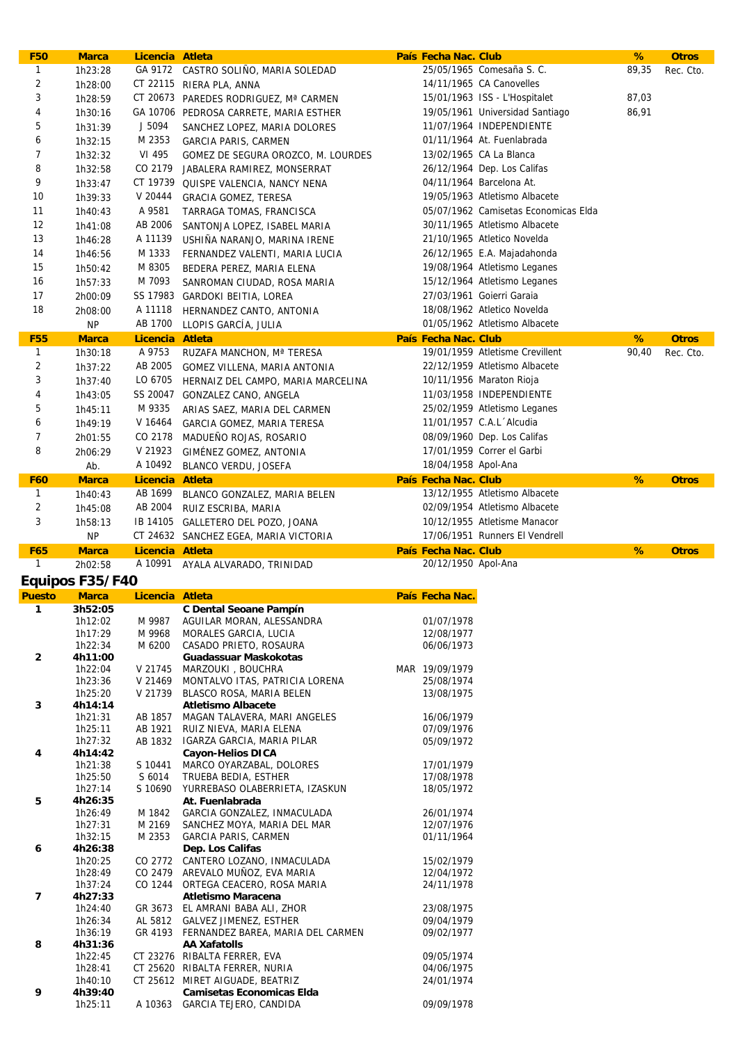| <b>F50</b>     | <b>Marca</b>                    | Licencia Atleta  |                                                                     | País Fecha Nac. Club     |                                      | %     | <b>Otros</b> |
|----------------|---------------------------------|------------------|---------------------------------------------------------------------|--------------------------|--------------------------------------|-------|--------------|
| $\mathbf{1}$   | 1h23:28                         |                  | GA 9172 CASTRO SOLIÑO, MARIA SOLEDAD                                |                          | 25/05/1965 Comesaña S. C.            | 89,35 | Rec. Cto.    |
| $\overline{2}$ | 1h28:00                         |                  | CT 22115 RIERA PLA, ANNA                                            |                          | 14/11/1965 CA Canovelles             |       |              |
| 3              | 1h28:59                         |                  | CT 20673 PAREDES RODRIGUEZ, Mª CARMEN                               |                          | 15/01/1963 ISS - L'Hospitalet        | 87,03 |              |
| 4              | 1h30:16                         |                  | GA 10706 PEDROSA CARRETE, MARIA ESTHER                              |                          | 19/05/1961 Universidad Santiago      | 86,91 |              |
| 5              | 1h31:39                         | J 5094           | SANCHEZ LOPEZ, MARIA DOLORES                                        |                          | 11/07/1964 INDEPENDIENTE             |       |              |
| 6              |                                 |                  |                                                                     |                          | 01/11/1964 At. Fuenlabrada           |       |              |
|                | 1h32:15                         | M 2353           | GARCIA PARIS, CARMEN                                                |                          |                                      |       |              |
| 7              | 1h32:32                         | VI 495           | GOMEZ DE SEGURA OROZCO, M. LOURDES                                  |                          | 13/02/1965 CA La Blanca              |       |              |
| 8              | 1h32:58                         | CO 2179          | JABALERA RAMIREZ, MONSERRAT                                         |                          | 26/12/1964 Dep. Los Califas          |       |              |
| 9              | 1h33:47                         |                  | CT 19739 QUISPE VALENCIA, NANCY NENA                                |                          | 04/11/1964 Barcelona At.             |       |              |
| 10             | 1h39:33                         | V 20444          | <b>GRACIA GOMEZ, TERESA</b>                                         |                          | 19/05/1963 Atletismo Albacete        |       |              |
| 11             | 1h40:43                         | A 9581           | TARRAGA TOMAS, FRANCISCA                                            |                          | 05/07/1962 Camisetas Economicas Elda |       |              |
| 12             | 1h41:08                         | AB 2006          | SANTONJA LOPEZ, ISABEL MARIA                                        |                          | 30/11/1965 Atletismo Albacete        |       |              |
| 13             | 1h46:28                         | A 11139          | USHINA NARANJO, MARINA IRENE                                        |                          | 21/10/1965 Atletico Novelda          |       |              |
| 14             | 1h46:56                         | M 1333           | FERNANDEZ VALENTI, MARIA LUCIA                                      |                          | 26/12/1965 E.A. Majadahonda          |       |              |
| 15             |                                 | M 8305           |                                                                     |                          |                                      |       |              |
|                | 1h50:42                         |                  | BEDERA PEREZ, MARIA ELENA                                           |                          | 19/08/1964 Atletismo Leganes         |       |              |
| 16             | 1h57:33                         | M 7093           | SANROMAN CIUDAD, ROSA MARIA                                         |                          | 15/12/1964 Atletismo Leganes         |       |              |
| 17             | 2h00:09                         |                  | SS 17983 GARDOKI BEITIA, LOREA                                      |                          | 27/03/1961 Goierri Garaia            |       |              |
| 18             | 2h08:00                         | A 11118          | HERNANDEZ CANTO, ANTONIA                                            |                          | 18/08/1962 Atletico Novelda          |       |              |
|                | <b>NP</b>                       | AB 1700          | LLOPIS GARCÍA, JULIA                                                |                          | 01/05/1962 Atletismo Albacete        |       |              |
| <b>F55</b>     | <b>Marca</b>                    | Licencia Atleta  |                                                                     | País Fecha Nac. Club     |                                      | %     | <b>Otros</b> |
| $\mathbf{1}$   | 1h30:18                         | A 9753           | RUZAFA MANCHON, Mª TERESA                                           |                          | 19/01/1959 Atletisme Crevillent      | 90,40 | Rec. Cto.    |
| $\overline{2}$ | 1h37:22                         | AB 2005          | GOMEZ VILLENA, MARIA ANTONIA                                        |                          | 22/12/1959 Atletismo Albacete        |       |              |
| 3              | 1h37:40                         | LO 6705          |                                                                     |                          | 10/11/1956 Maraton Rioja             |       |              |
|                |                                 |                  | HERNAIZ DEL CAMPO, MARIA MARCELINA                                  |                          |                                      |       |              |
| 4              | 1h43:05                         |                  | SS 20047 GONZALEZ CANO, ANGELA                                      |                          | 11/03/1958 INDEPENDIENTE             |       |              |
| 5              | 1h45:11                         | M 9335           | ARIAS SAEZ, MARIA DEL CARMEN                                        |                          | 25/02/1959 Atletismo Leganes         |       |              |
| 6              | 1h49:19                         | V 16464          | GARCIA GOMEZ, MARIA TERESA                                          |                          | 11/01/1957 C.A.L Alcudia             |       |              |
| 7              | 2h01:55                         | CO 2178          | MADUEÑO ROJAS, ROSARIO                                              |                          | 08/09/1960 Dep. Los Califas          |       |              |
| 8              | 2h06:29                         | V 21923          | GIMÉNEZ GOMEZ, ANTONIA                                              |                          | 17/01/1959 Correr el Garbi           |       |              |
|                | Ab.                             | A 10492          | BLANCO VERDU, JOSEFA                                                | 18/04/1958 Apol-Ana      |                                      |       |              |
| <b>F60</b>     | <b>Marca</b>                    | Licencia Atleta  |                                                                     | País Fecha Nac. Club     |                                      | %     | <b>Otros</b> |
| $\mathbf{1}$   | 1h40:43                         |                  | AB 1699 BLANCO GONZALEZ, MARIA BELEN                                |                          | 13/12/1955 Atletismo Albacete        |       |              |
| $\overline{c}$ |                                 | AB 2004          |                                                                     |                          | 02/09/1954 Atletismo Albacete        |       |              |
|                | 1h45:08                         |                  | RUIZ ESCRIBA, MARIA                                                 |                          |                                      |       |              |
| 3              | 1h58:13                         |                  | IB 14105 GALLETERO DEL POZO, JOANA                                  |                          | 10/12/1955 Atletisme Manacor         |       |              |
|                |                                 |                  |                                                                     |                          |                                      |       |              |
|                | <b>NP</b>                       |                  | CT 24632 SANCHEZ EGEA, MARIA VICTORIA                               |                          | 17/06/1951 Runners El Vendrell       |       |              |
| <b>F65</b>     | <b>Marca</b>                    | Licencia Atleta  |                                                                     | País Fecha Nac. Club     |                                      | %     | <b>Otros</b> |
| $\mathbf{1}$   | 2h02:58                         | A 10991          | AYALA ALVARADO, TRINIDAD                                            | 20/12/1950 Apol-Ana      |                                      |       |              |
|                |                                 |                  |                                                                     |                          |                                      |       |              |
| <b>Puesto</b>  | Equipos F35/F40<br><b>Marca</b> |                  |                                                                     | País Fecha Nac.          |                                      |       |              |
|                |                                 | Licencia Atleta  |                                                                     |                          |                                      |       |              |
| 1              | 3h52:05<br>1h12:02              | M 9987           | C Dental Seoane Pampín<br>AGUILAR MORAN, ALESSANDRA                 | 01/07/1978               |                                      |       |              |
|                | 1h17:29                         | M 9968           | MORALES GARCIA, LUCIA                                               | 12/08/1977               |                                      |       |              |
|                | 1h22:34                         | M 6200           | CASADO PRIETO, ROSAURA                                              | 06/06/1973               |                                      |       |              |
| $\overline{2}$ | 4h11:00                         |                  | Guadassuar Maskokotas                                               |                          |                                      |       |              |
|                | 1h22:04                         | V 21745          | MARZOUKI, BOUCHRA                                                   | MAR 19/09/1979           |                                      |       |              |
|                | 1h23:36                         | V 21469          | MONTALVO ITAS, PATRICIA LORENA                                      | 25/08/1974               |                                      |       |              |
|                | 1h25:20                         | V 21739          | BLASCO ROSA, MARIA BELEN                                            | 13/08/1975               |                                      |       |              |
| 3              | 4h14:14                         |                  | <b>Atletismo Albacete</b>                                           |                          |                                      |       |              |
|                | 1h21:31                         | AB 1857          | MAGAN TALAVERA, MARI ANGELES                                        | 16/06/1979               |                                      |       |              |
|                | 1h25:11                         | AB 1921          | RUIZ NIEVA, MARIA ELENA                                             | 07/09/1976               |                                      |       |              |
|                | 1h27:32                         | AB 1832          | IGARZA GARCIA, MARIA PILAR                                          | 05/09/1972               |                                      |       |              |
| 4              | 4h14:42                         |                  | <b>Cayon-Helios DICA</b>                                            |                          |                                      |       |              |
|                | 1h21:38                         | S 10441          | MARCO OYARZABAL, DOLORES                                            | 17/01/1979               |                                      |       |              |
|                | 1h25:50                         | S 6014           | TRUEBA BEDIA, ESTHER                                                | 17/08/1978               |                                      |       |              |
|                | 1h27:14                         | S 10690          | YURREBASO OLABERRIETA, IZASKUN                                      | 18/05/1972               |                                      |       |              |
| 5              | 4h26:35                         |                  | At. Fuenlabrada                                                     |                          |                                      |       |              |
|                | 1h26:49<br>1h27:31              | M 1842<br>M 2169 | GARCIA GONZALEZ, INMACULADA<br>SANCHEZ MOYA, MARIA DEL MAR          | 26/01/1974<br>12/07/1976 |                                      |       |              |
|                | 1h32:15                         | M 2353           | <b>GARCIA PARIS, CARMEN</b>                                         | 01/11/1964               |                                      |       |              |
| 6              | 4h26:38                         |                  | Dep. Los Califas                                                    |                          |                                      |       |              |
|                | 1h20:25                         |                  | CO 2772 CANTERO LOZANO, INMACULADA                                  | 15/02/1979               |                                      |       |              |
|                | 1h28:49                         |                  | CO 2479 AREVALO MUÑOZ, EVA MARIA                                    | 12/04/1972               |                                      |       |              |
|                | 1h37:24                         | CO 1244          | ORTEGA CEACERO, ROSA MARIA                                          | 24/11/1978               |                                      |       |              |
| $\overline{7}$ | 4h27:33                         |                  | <b>Atletismo Maracena</b>                                           |                          |                                      |       |              |
|                | 1h24:40                         | GR 3673          | EL AMRANI BABA ALI, ZHOR                                            | 23/08/1975               |                                      |       |              |
|                | 1h26:34                         |                  | AL 5812 GALVEZ JIMENEZ, ESTHER                                      | 09/04/1979               |                                      |       |              |
|                | 1h36:19                         |                  | GR 4193 FERNANDEZ BAREA, MARIA DEL CARMEN                           | 09/02/1977               |                                      |       |              |
| 8              | 4h31:36                         |                  | <b>AA Xafatolls</b>                                                 |                          |                                      |       |              |
|                | 1h22:45                         |                  | CT 23276 RIBALTA FERRER, EVA                                        | 09/05/1974               |                                      |       |              |
|                | 1h28:41                         |                  | CT 25620 RIBALTA FERRER, NURIA                                      | 04/06/1975               |                                      |       |              |
|                | 1h40:10                         |                  | CT 25612 MIRET AIGUADE, BEATRIZ<br><b>Camisetas Economicas Elda</b> | 24/01/1974               |                                      |       |              |
| 9              | 4h39:40<br>1h25:11              | A 10363          | GARCIA TEJERO, CANDIDA                                              | 09/09/1978               |                                      |       |              |